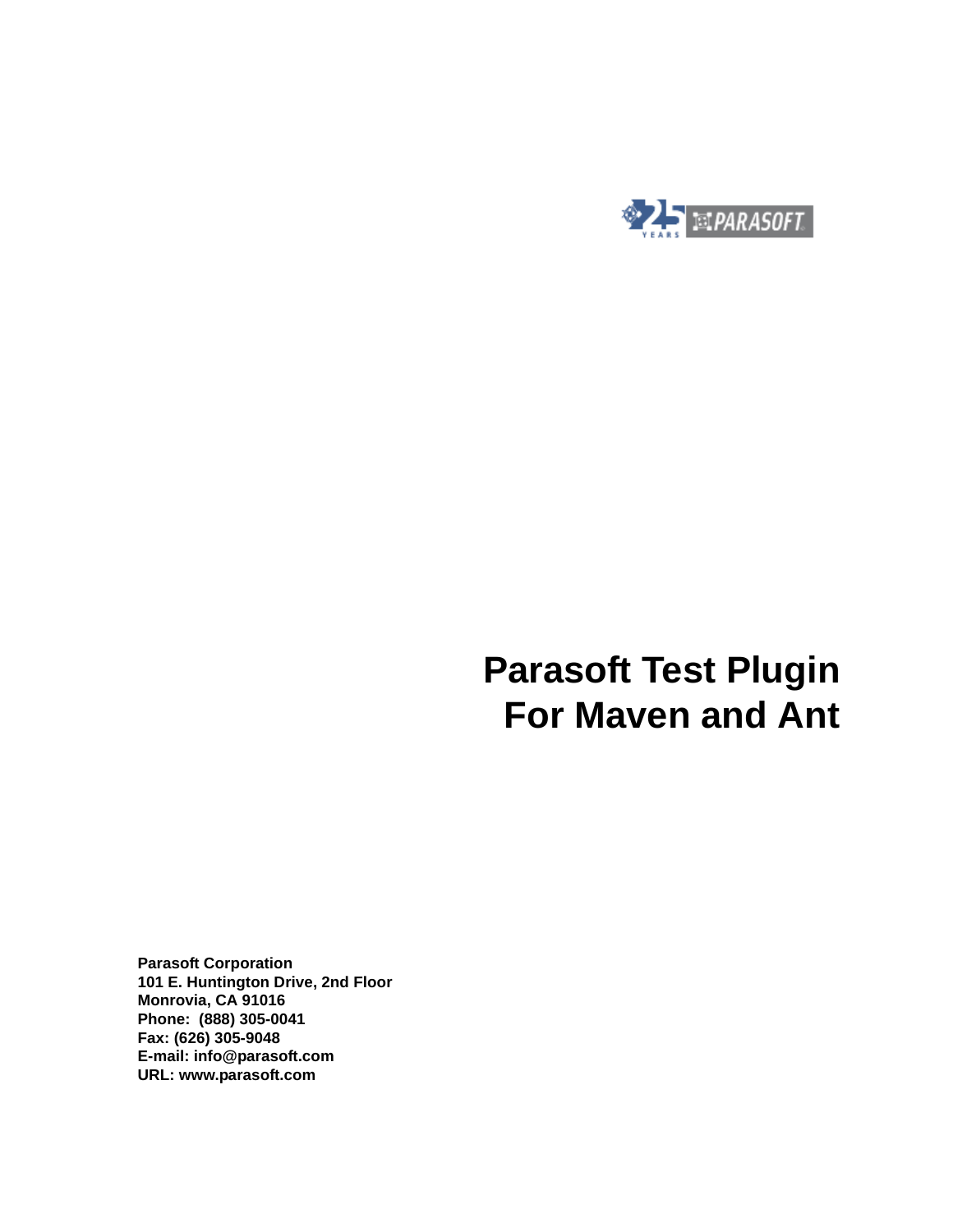

# **Parasoft Test Plugin For Maven and Ant**

**Parasoft Corporation 101 E. Huntington Drive, 2nd Floor Monrovia, CA 91016 Phone: (888) 305-0041 Fax: (626) 305-9048 E-mail: info@parasoft.com URL: www.parasoft.com**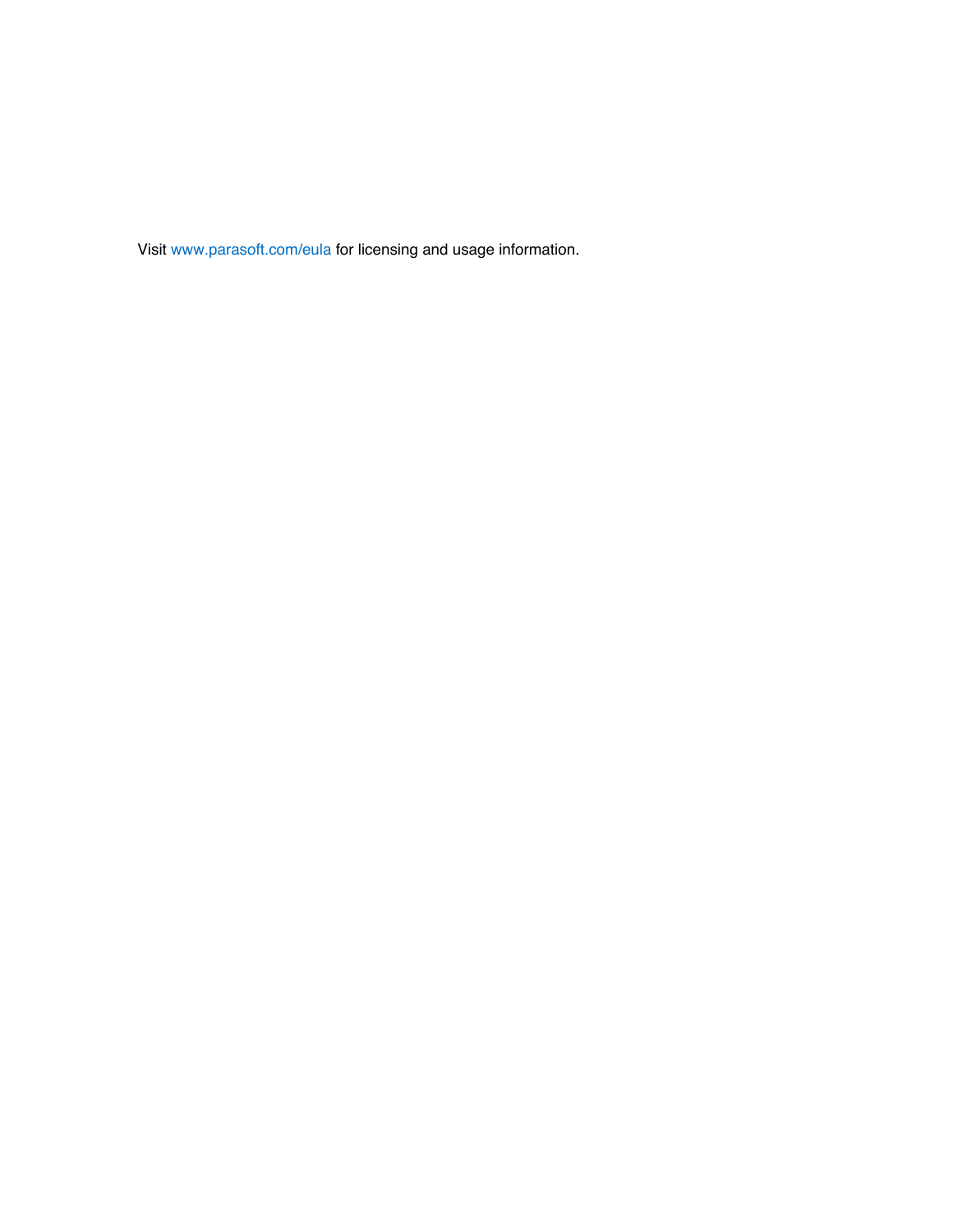Visit [www.parasoft.com/eula](https://www.parasoft.com/eula) for licensing and usage information.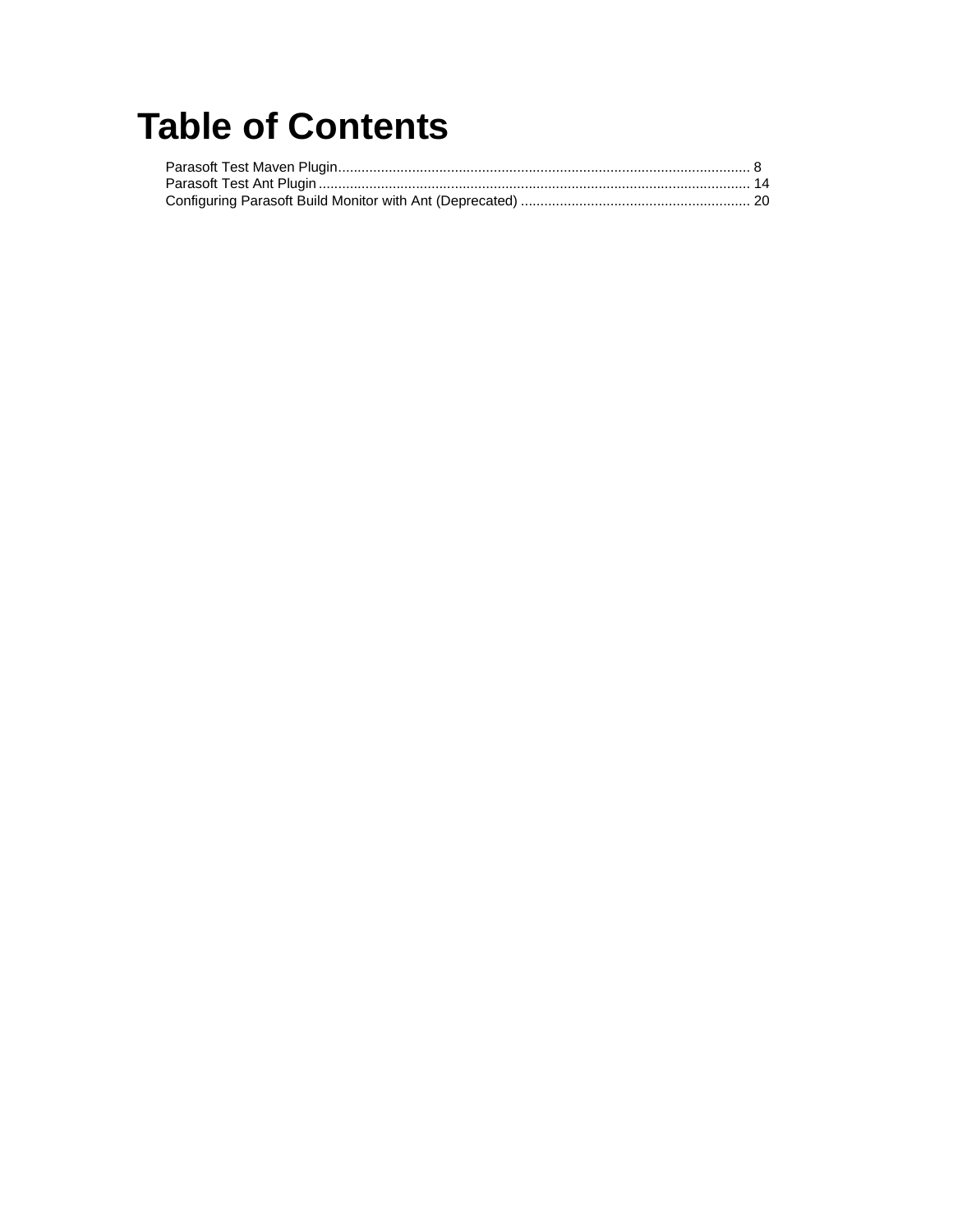# **Table of Contents**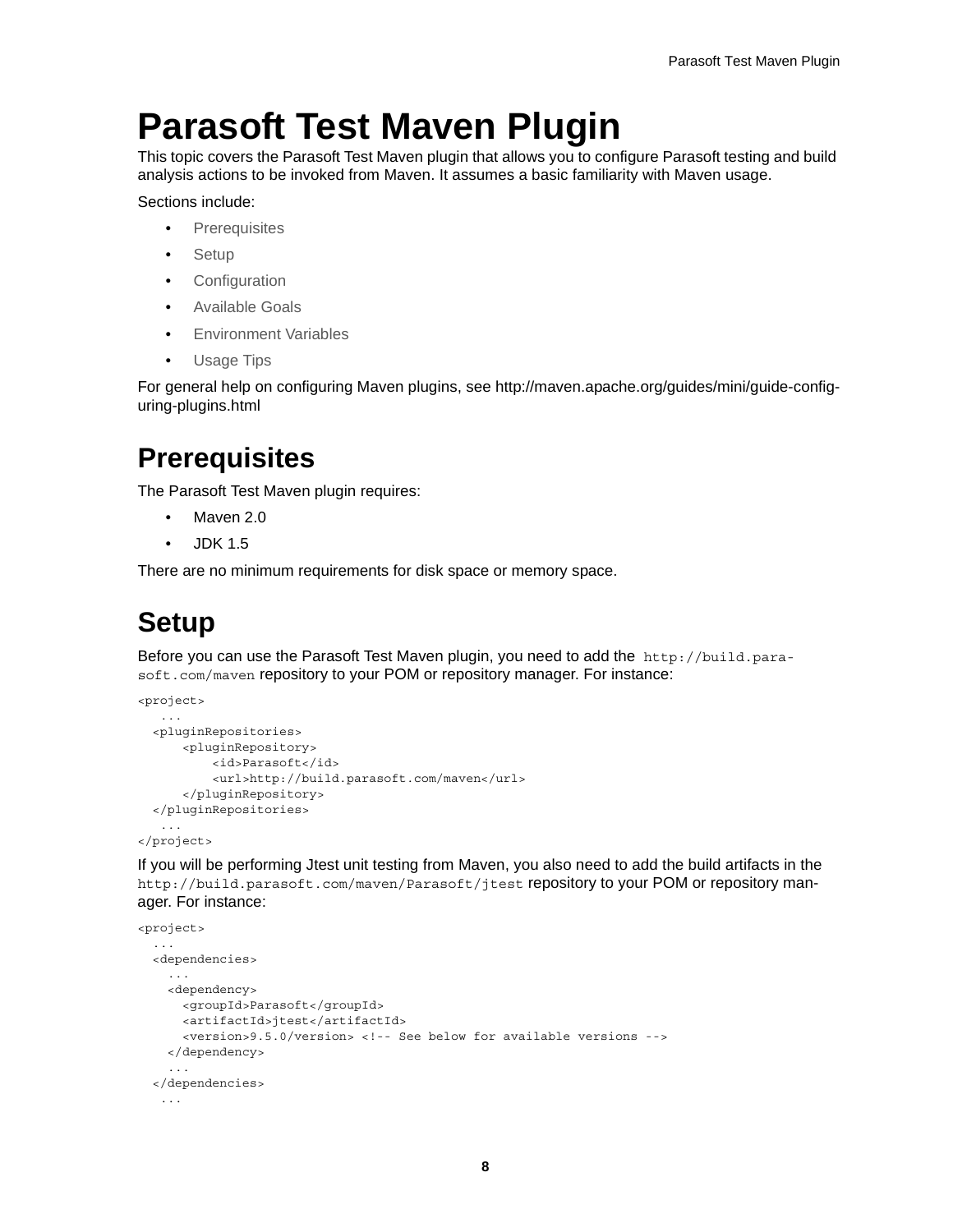# <span id="page-3-0"></span>**Parasoft Test Maven Plugin**

This topic covers the Parasoft Test Maven plugin that allows you to configure Parasoft testing and build analysis actions to be invoked from Maven. It assumes a basic familiarity with Maven usage.

Sections include:

- [Prerequisites](#page-3-2)
- [Setup](#page-3-1)
- [Configuration](#page-4-0)
- [Available Goals](#page-6-0)
- [Environment Variables](#page-6-1)
- [Usage Tips](#page-7-0)

For general help on configuring Maven plugins, see [http://maven.apache.org/guides/mini/guide-config](http://maven.apache.org/guides/mini/guide-configuring-plugins.html)[uring-plugins.html](http://maven.apache.org/guides/mini/guide-configuring-plugins.html)

### <span id="page-3-2"></span>**Prerequisites**

The Parasoft Test Maven plugin requires:

- Maven 2.0
- JDK 1.5

There are no minimum requirements for disk space or memory space.

## <span id="page-3-1"></span>**Setup**

Before you can use the Parasoft Test Maven plugin, you need to add the http://build.parasoft.com/maven repository to your POM or repository manager. For instance:

```
<project>
    ... 
   <pluginRepositories>
       <pluginRepository>
           <id>Parasoft</id>
           <url>http://build.parasoft.com/maven</url>
       </pluginRepository>
   </pluginRepositories>
    ...
</project>
```
If you will be performing Jtest unit testing from Maven, you also need to add the build artifacts in the http://build.parasoft.com/maven/Parasoft/jtest repository to your POM or repository manager. For instance:

```
<project>
   ...
   <dependencies>
     ...
     <dependency>
       <groupId>Parasoft</groupId>
      <artifactId>jtest</artifactId>
       <version>9.5.0/version> <!-- See below for available versions -->
     </dependency>
     ...
   </dependencies>
    ...
```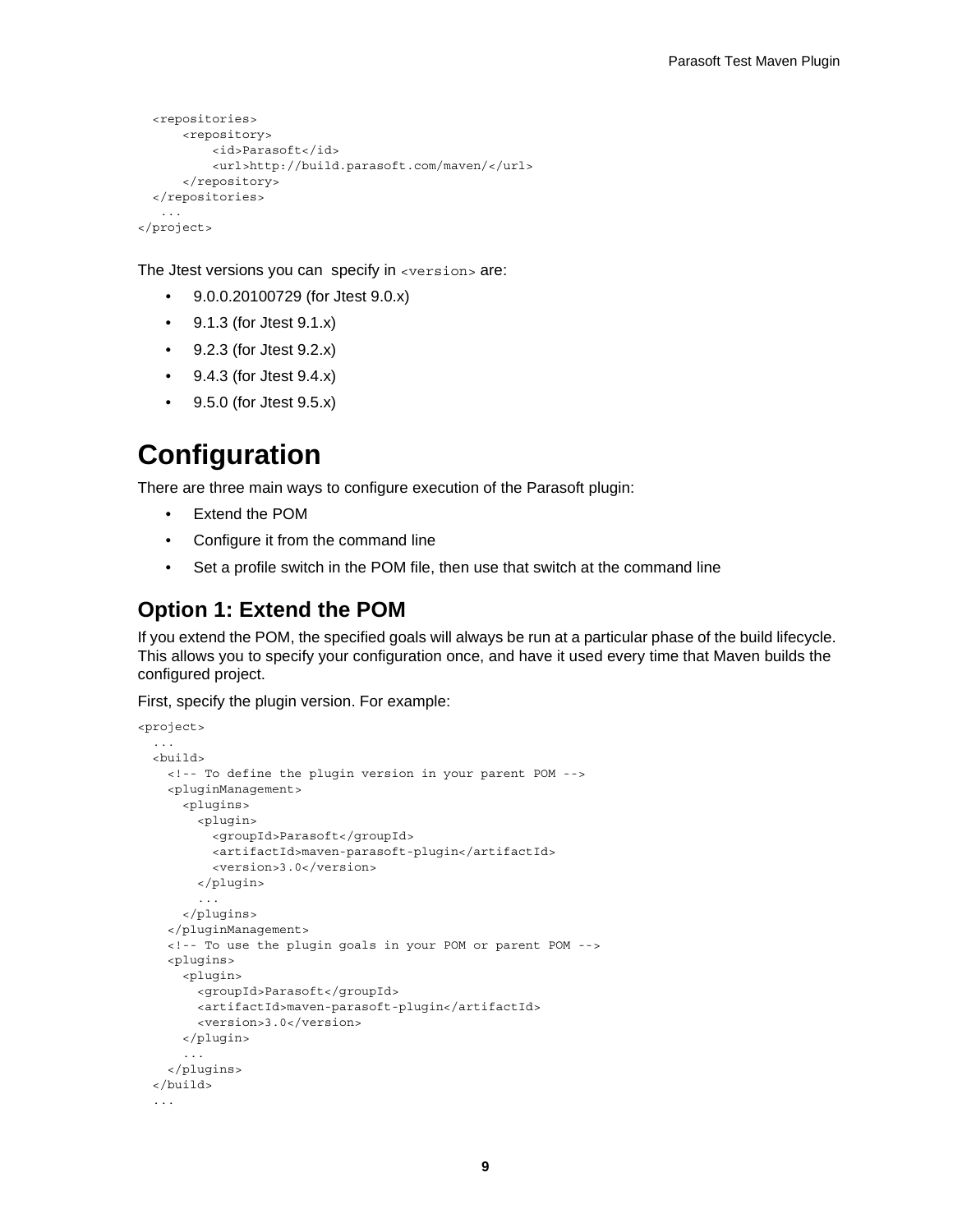```
 <repositories>
      <repository>
          <id>Parasoft</id>
           <url>http://build.parasoft.com/maven/</url>
       </repository>
   </repositories>
 ...
</project>
```
The Jtest versions you can specify in  $\langle$ version $\rangle$  are:

- 9.0.0.20100729 (for Jtest 9.0.x)
- 9.1.3 (for Jtest 9.1.x)
- 9.2.3 (for Jtest 9.2.x)
- 9.4.3 (for Jtest 9.4.x)
- 9.5.0 (for Jtest 9.5.x)

### <span id="page-4-0"></span>**Configuration**

There are three main ways to configure execution of the Parasoft plugin:

- Extend the POM
- Configure it from the command line
- Set a profile switch in the POM file, then use that switch at the command line

#### **Option 1: Extend the POM**

If you extend the POM, the specified goals will always be run at a particular phase of the build lifecycle. This allows you to specify your configuration once, and have it used every time that Maven builds the configured project.

First, specify the plugin version. For example:

```
<project>
   ...
   <build>
     <!-- To define the plugin version in your parent POM -->
     <pluginManagement>
       <plugins>
         <plugin>
           <groupId>Parasoft</groupId>
           <artifactId>maven-parasoft-plugin</artifactId>
           <version>3.0</version>
         </plugin>
          ...
       </plugins>
     </pluginManagement>
     <!-- To use the plugin goals in your POM or parent POM -->
     <plugins>
       <plugin>
         <groupId>Parasoft</groupId>
         <artifactId>maven-parasoft-plugin</artifactId>
         <version>3.0</version>
       </plugin>
       ...
     </plugins>
   </build>
   ...
```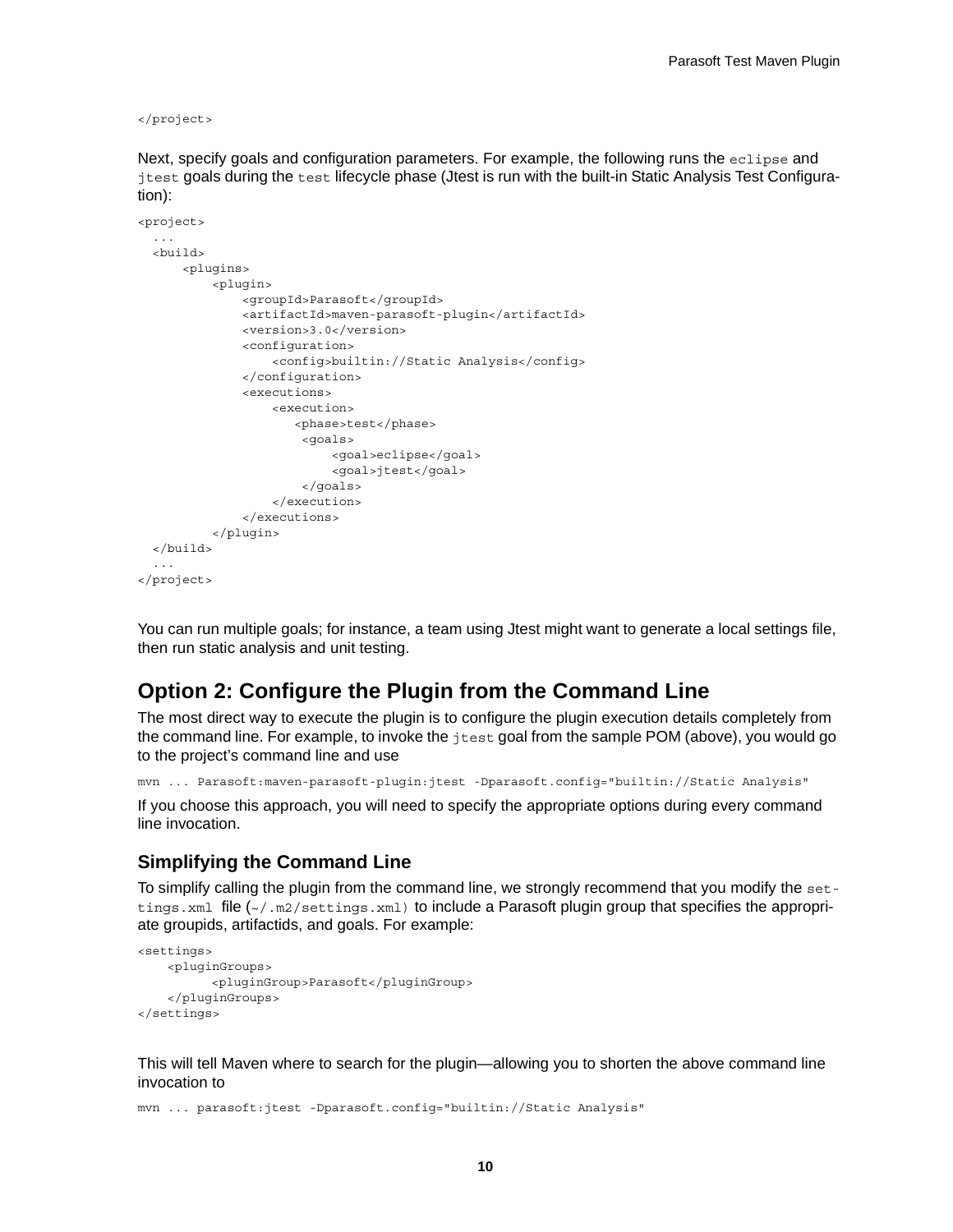</project>

Next, specify goals and configuration parameters. For example, the following runs the eclipse and jtest goals during the test lifecycle phase (Jtest is run with the built-in Static Analysis Test Configuration):

```
<project>
 ...
   <build>
       <plugins>
           <plugin>
               <groupId>Parasoft</groupId>
                <artifactId>maven-parasoft-plugin</artifactId>
                <version>3.0</version>
                <configuration>
                    <config>builtin://Static Analysis</config>
                </configuration>
                <executions>
                    <execution>
                       <phase>test</phase>
                        <goals>
                            <goal>eclipse</goal>
                            <goal>jtest</goal>
                        </goals>
                    </execution>
                </executions>
           </plugin>
   </build>
   ...
</project>
```
You can run multiple goals; for instance, a team using Jtest might want to generate a local settings file, then run static analysis and unit testing.

#### **Option 2: Configure the Plugin from the Command Line**

The most direct way to execute the plugin is to configure the plugin execution details completely from the command line. For example, to invoke the jtest goal from the sample POM (above), you would go to the project's command line and use

mvn ... Parasoft:maven-parasoft-plugin:jtest -Dparasoft.config="builtin://Static Analysis"

If you choose this approach, you will need to specify the appropriate options during every command line invocation.

#### **Simplifying the Command Line**

To simplify calling the plugin from the command line, we strongly recommend that you modify the settings.xml file ( $\sim$ /.m2/settings.xml) to include a Parasoft plugin group that specifies the appropriate groupids, artifactids, and goals. For example:

```
<settings>
     <pluginGroups>
           <pluginGroup>Parasoft</pluginGroup>
     </pluginGroups>
</settings>
```
This will tell Maven where to search for the plugin—allowing you to shorten the above command line invocation to

mvn ... parasoft:jtest -Dparasoft.config="builtin://Static Analysis"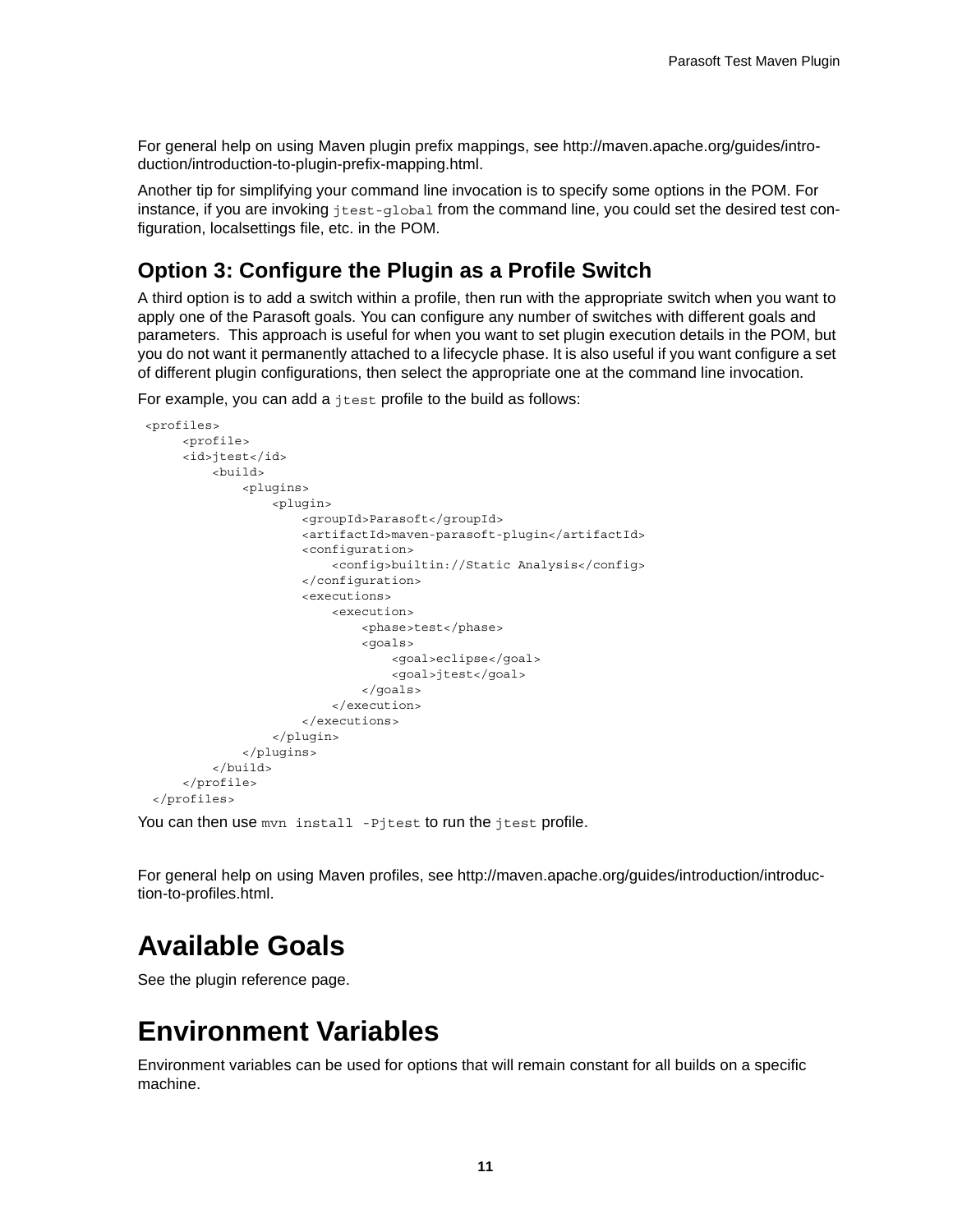For general help on using Maven plugin prefix mappings, see [http://maven.apache.org/guides/intro](http://maven.apache.org/guides/introduction/introduction-to-plugin-prefix-mapping.html)[duction/introduction-to-plugin-prefix-mapping.html.](http://maven.apache.org/guides/introduction/introduction-to-plugin-prefix-mapping.html)

Another tip for simplifying your command line invocation is to specify some options in the POM. For instance, if you are invoking  $jtest-qlobal$  from the command line, you could set the desired test configuration, localsettings file, etc. in the POM.

#### **Option 3: Configure the Plugin as a Profile Switch**

A third option is to add a switch within a profile, then run with the appropriate switch when you want to apply one of the Parasoft goals. You can configure any number of switches with different goals and parameters. This approach is useful for when you want to set plugin execution details in the POM, but you do not want it permanently attached to a lifecycle phase. It is also useful if you want configure a set of different plugin configurations, then select the appropriate one at the command line invocation.

For example, you can add a jtest profile to the build as follows:

```
 <profiles>
      <profile>
      <id>jtest</id>
          <build>
               <plugins>
                   <plugin>
                       <groupId>Parasoft</groupId>
                        <artifactId>maven-parasoft-plugin</artifactId>
                        <configuration>
                            <config>builtin://Static Analysis</config>
                        </configuration>
                        <executions>
                            <execution>
                                <phase>test</phase>
                                <goals>
                                    <goal>eclipse</goal>
                                    <goal>jtest</goal>
                                </goals>
                            </execution>
                        </executions>
                   </plugin>
               </plugins>
          </build>
      </profile>
  </profiles>
```
You can then use myn install -Pjtest to run the jtest profile.

For general help on using Maven profiles, see [http://maven.apache.org/guides/introduction/introduc](http://maven.apache.org/guides/introduction/introduction-to-profiles.html)[tion-to-profiles.html.](http://maven.apache.org/guides/introduction/introduction-to-profiles.html)

### <span id="page-6-0"></span>**Available Goals**

See the [plugin reference page](http://build.parasoft.com/docs/plugin-info.html).

### <span id="page-6-1"></span>**Environment Variables**

Environment variables can be used for options that will remain constant for all builds on a specific machine.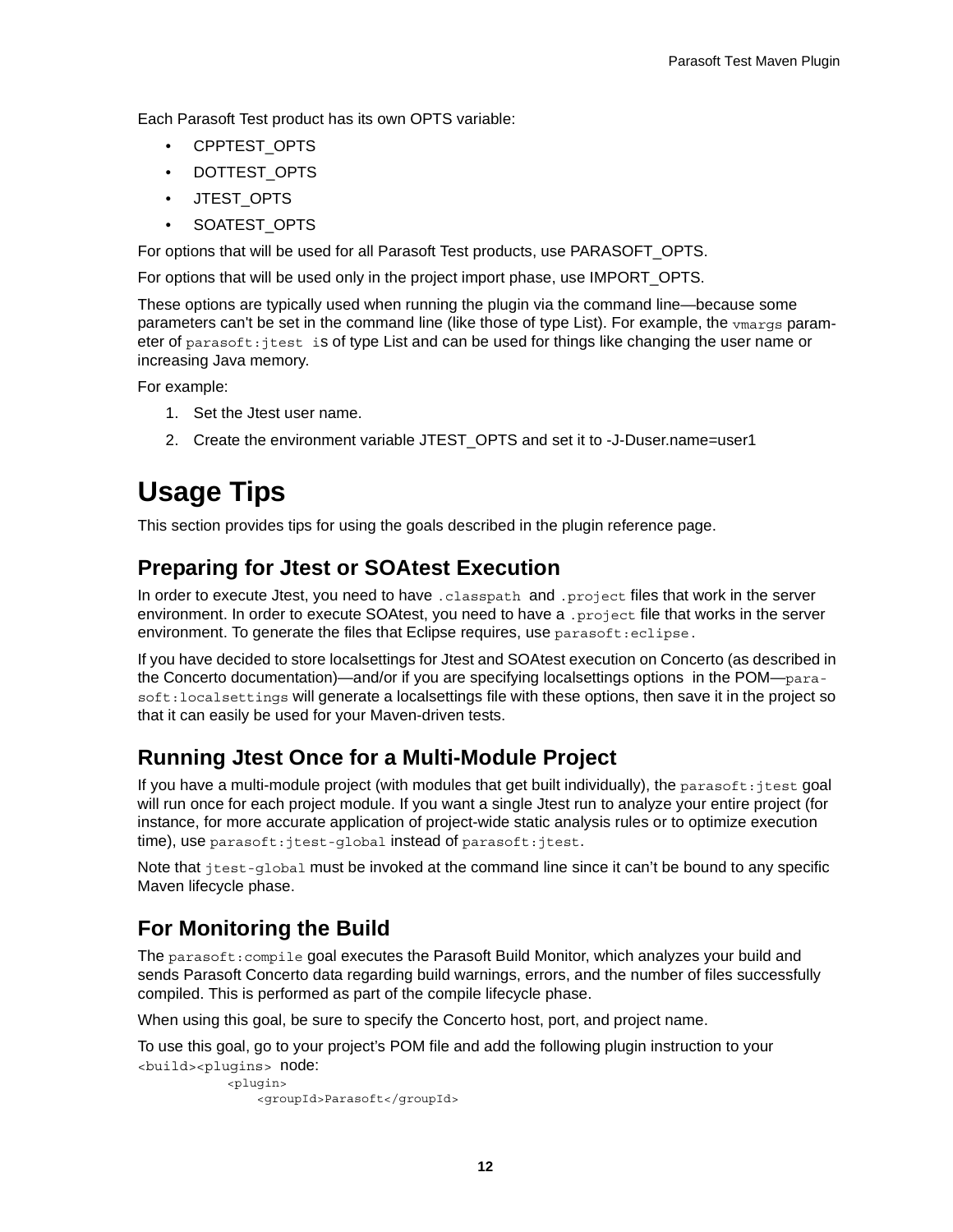Each Parasoft Test product has its own OPTS variable:

- CPPTEST\_OPTS
- DOTTEST\_OPTS
- JTEST\_OPTS
- SOATEST\_OPTS

For options that will be used for all Parasoft Test products, use PARASOFT\_OPTS.

For options that will be used only in the project import phase, use IMPORT\_OPTS.

These options are typically used when running the plugin via the command line—because some parameters can't be set in the command line (like those of type List). For example, the vmargs parameter of parasoft:jtest is of type List and can be used for things like changing the user name or increasing Java memory.

For example:

- 1. Set the Jtest user name.
- 2. Create the environment variable JTEST\_OPTS and set it to -J-Duser.name=user1

## <span id="page-7-0"></span>**Usage Tips**

This section provides tips for using the goals described in the [plugin reference page.](http://build.parasoft.com/docs/plugin-info.html)

#### **Preparing for Jtest or SOAtest Execution**

In order to execute Jtest, you need to have .classpath and .project files that work in the server environment. In order to execute SOAtest, you need to have a . project file that works in the server environment. To generate the files that Eclipse requires, use parasoft: eclipse.

If you have decided to store localsettings for Jtest and SOAtest execution on Concerto (as described in the Concerto documentation)—and/or if you are specifying localsettings options in the POM—parasoft:localsettings will generate a localsettings file with these options, then save it in the project so that it can easily be used for your Maven-driven tests.

#### **Running Jtest Once for a Multi-Module Project**

If you have a multi-module project (with modules that get built individually), the parasoft: jtest goal will run once for each project module. If you want a single Jtest run to analyze your entire project (for instance, for more accurate application of project-wide static analysis rules or to optimize execution time), use parasoft:jtest-global instead of parasoft:jtest.

Note that  $j$ test-global must be invoked at the command line since it can't be bound to any specific Maven lifecycle phase.

### **For Monitoring the Build**

The parasoft:compile goal executes the Parasoft Build Monitor, which analyzes your build and sends Parasoft Concerto data regarding build warnings, errors, and the number of files successfully compiled. This is performed as part of the compile lifecycle phase.

When using this goal, be sure to specify the Concerto host, port, and project name.

To use this goal, go to your project's POM file and add the following plugin instruction to your <build><plugins> node:

```
 <plugin>
     <groupId>Parasoft</groupId>
```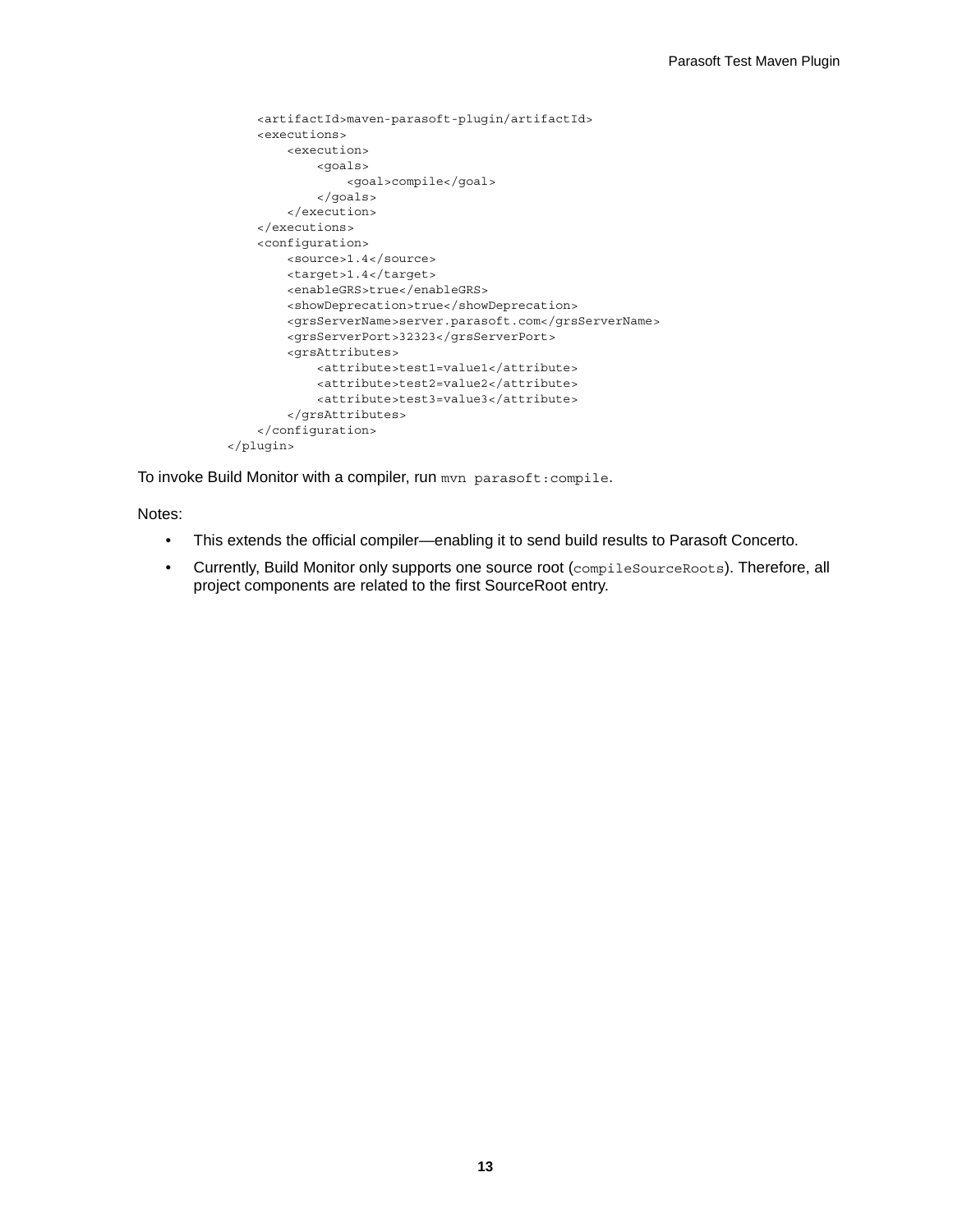```
 <artifactId>maven-parasoft-plugin/artifactId>
     <executions>
         <execution>
             <goals>
                 <goal>compile</goal>
             </goals>
         </execution>
     </executions>
     <configuration>
         <source>1.4</source>
         <target>1.4</target>
         <enableGRS>true</enableGRS>
         <showDeprecation>true</showDeprecation>
         <grsServerName>server.parasoft.com</grsServerName>
         <grsServerPort>32323</grsServerPort>
         <grsAttributes>
             <attribute>test1=value1</attribute>
             <attribute>test2=value2</attribute>
             <attribute>test3=value3</attribute>
         </grsAttributes>
     </configuration>
 </plugin>
```
To invoke Build Monitor with a compiler, run mvn parasoft: compile.

Notes:

- This extends the official compiler—enabling it to send build results to Parasoft Concerto.
- Currently, Build Monitor only supports one source root (compileSourceRoots). Therefore, all project components are related to the first SourceRoot entry.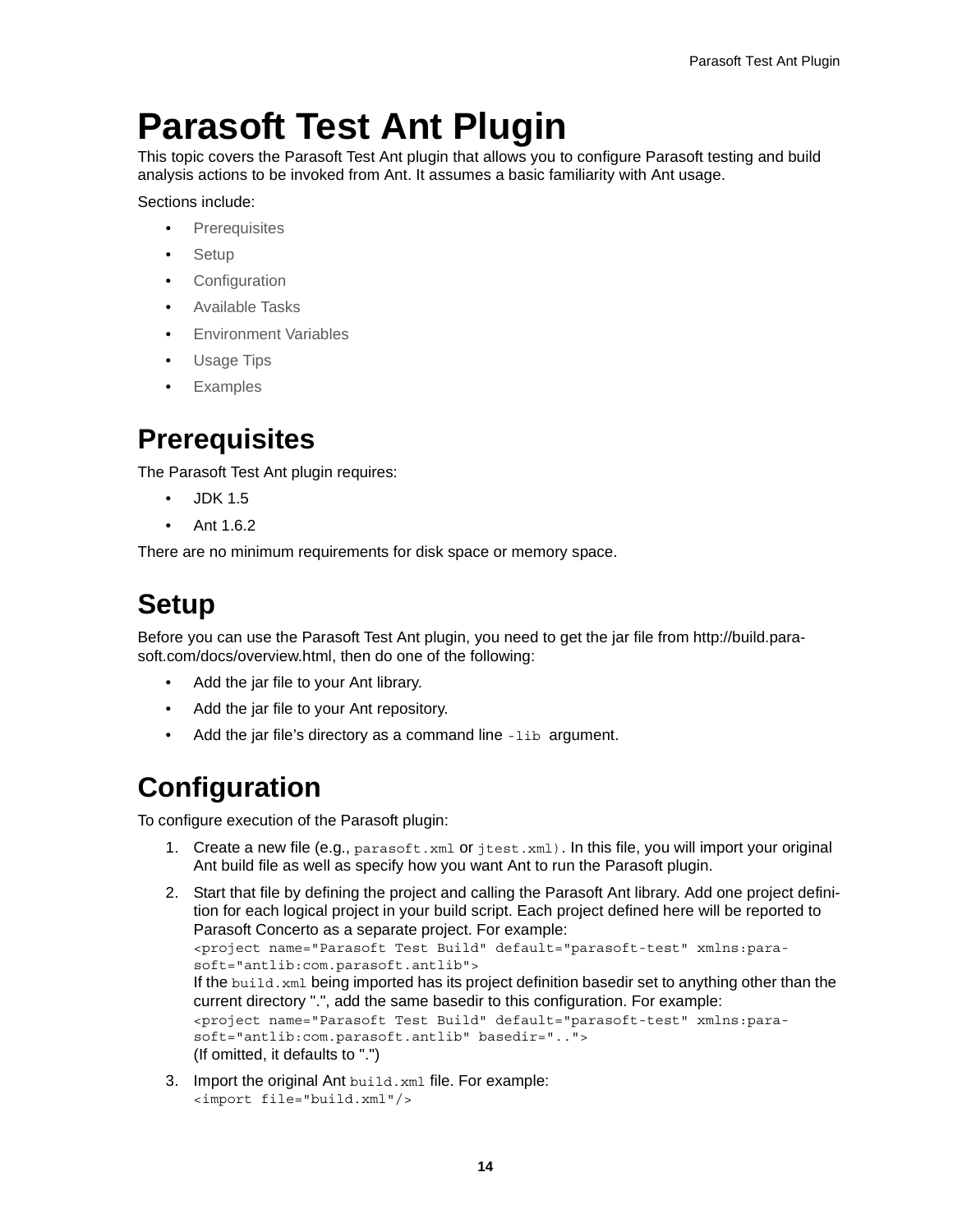# <span id="page-9-4"></span><span id="page-9-0"></span>**Parasoft Test Ant Plugin**

This topic covers the Parasoft Test Ant plugin that allows you to configure Parasoft testing and build analysis actions to be invoked from Ant. It assumes a basic familiarity with Ant usage.

Sections include:

- [Prerequisites](#page-9-1)
- [Setup](#page-9-2)
- [Configuration](#page-9-3)
- [Available Tasks](#page-11-1)
- [Environment Variables](#page-11-0)
- [Usage Tips](#page-12-0)
- **[Examples](#page-13-0)**

### <span id="page-9-1"></span>**Prerequisites**

The Parasoft Test Ant plugin requires:

- JDK 1.5
- Ant 1.6.2

There are no minimum requirements for disk space or memory space.

### <span id="page-9-2"></span>**Setup**

Before you can use the Parasoft Test Ant plugin, you need to get the jar file from [http://build.para](http://build.parasoft.com/docs/overview.html)[soft.com/docs/overview.html](http://build.parasoft.com/docs/overview.html), then do one of the following:

- Add the jar file to your Ant library.
- Add the jar file to your Ant repository.
- Add the jar file's directory as a command line -lib argument.

### <span id="page-9-3"></span>**Configuration**

To configure execution of the Parasoft plugin:

1. Create a new file (e.g., parasoft.xml or jtest.xml). In this file, you will import your original Ant build file as well as specify how you want Ant to run the Parasoft plugin.

```
2. Start that file by defining the project and calling the Parasoft Ant library. Add one project defini-
    tion for each logical project in your build script. Each project defined here will be reported to 
    Parasoft Concerto as a separate project. For example:
    <project name="Parasoft Test Build" default="parasoft-test" xmlns:para-
    soft="antlib:com.parasoft.antlib">
   If the build.xml being imported has its project definition basedir set to anything other than the
   current directory ".", add the same basedir to this configuration. For example: 
    <project name="Parasoft Test Build" default="parasoft-test" xmlns:para-
    soft="antlib:com.parasoft.antlib" basedir=".."> 
   (If omitted, it defaults to ".")
```
3. Import the original Ant build.xml file. For example: <import file="build.xml"/>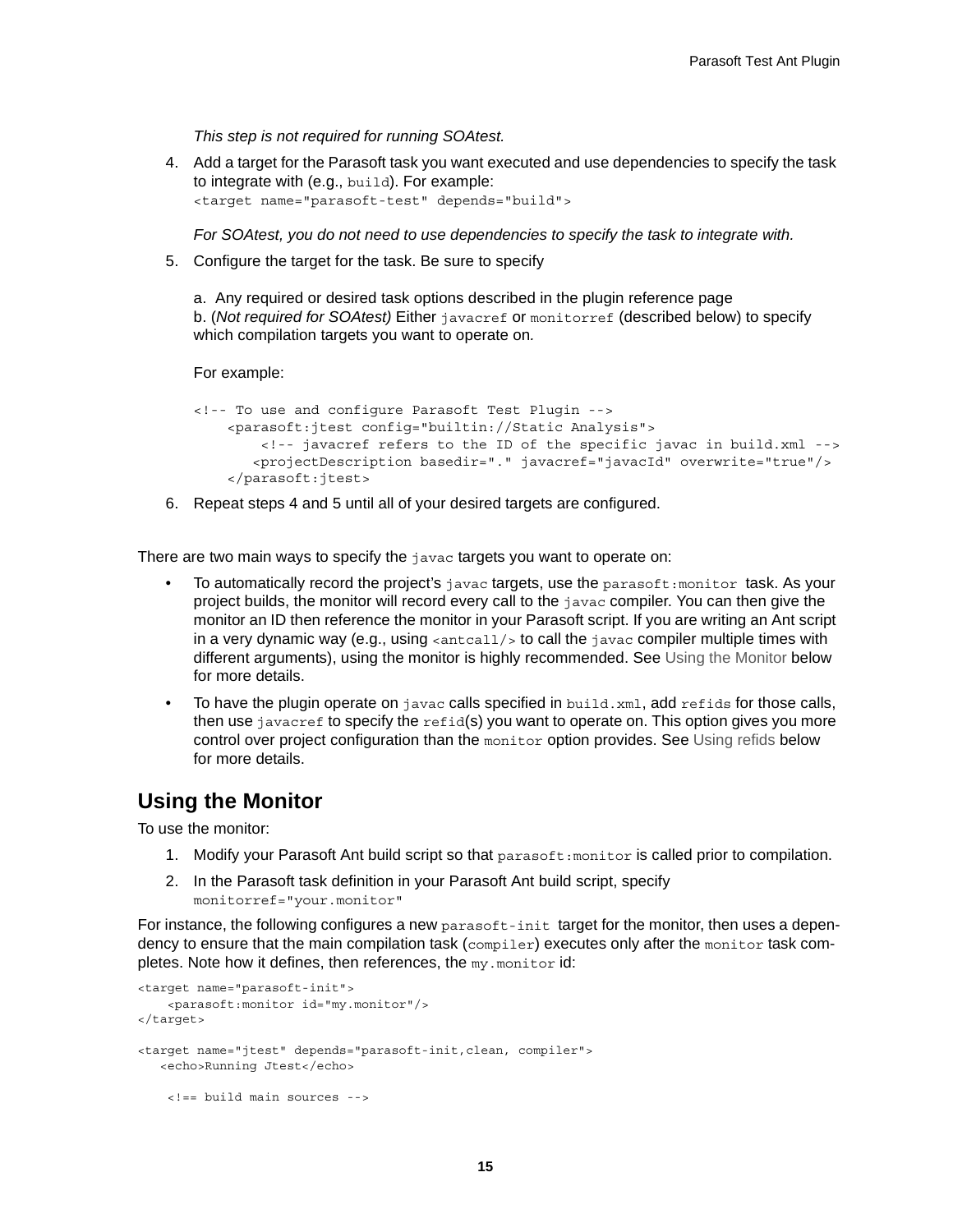*This step is not required for running SOAtest.*

4. Add a target for the Parasoft task you want executed and use dependencies to specify the task to integrate with (e.g., build). For example: <target name="parasoft-test" depends="build">

*For SOAtest, you do not need to use dependencies to specify the task to integrate with.*

5. Configure the target for the task. Be sure to specify

a. Any required or desired task options described in [the plugin reference page](http://build.parasoft.com/docs/overview.html)  b. (*Not required for SOAtest)* Either javacref or monitorref (described below) to specify which compilation targets you want to operate on*.*

For example:

```
<!-- To use and configure Parasoft Test Plugin -->
    <parasoft:jtest config="builtin://Static Analysis">
        <!-- javacref refers to the ID of the specific javac in build.xml -->
       <projectDescription basedir="." javacref="javacId" overwrite="true"/>
    </parasoft:jtest>
```
6. Repeat steps 4 and 5 until all of your desired targets are configured.

There are two main ways to specify the javac targets you want to operate on:

- To automatically record the project's  $j$ avac targets, use the parasoft: monitor task. As your project builds, the monitor will record every call to the javac compiler. You can then give the monitor an ID then reference the monitor in your Parasoft script. If you are writing an Ant script in a very dynamic way (e.g., using  $\alpha$ -antcall/ $\alpha$  to call the javac compiler multiple times with different arguments), using the monitor is highly recommended. See [Using the Monitor](#page-10-0) below for more details.
- To have the plugin operate on  $j$  avac calls specified in build.  $xml$ , add refids for those calls, then use  $j$  avacref to specify the refid(s) you want to operate on. This option gives you more control over project configuration than the monitor option provides. See [Using refids](#page-11-2) below for more details.

#### <span id="page-10-0"></span>**Using the Monitor**

To use the monitor:

- 1. Modify your Parasoft Ant build script so that parasoft: monitor is called prior to compilation.
- 2. In the Parasoft task definition in your Parasoft Ant build script, specify monitorref="your.monitor"

For instance, the following configures a new parasoft-init target for the monitor, then uses a dependency to ensure that the main compilation task (compiler) executes only after the monitor task completes. Note how it defines, then references, the my.monitor id:

```
<target name="parasoft-init">
     <parasoft:monitor id="my.monitor"/>
</target>
<target name="jtest" depends="parasoft-init,clean, compiler">
    <echo>Running Jtest</echo>
     <!== build main sources -->
```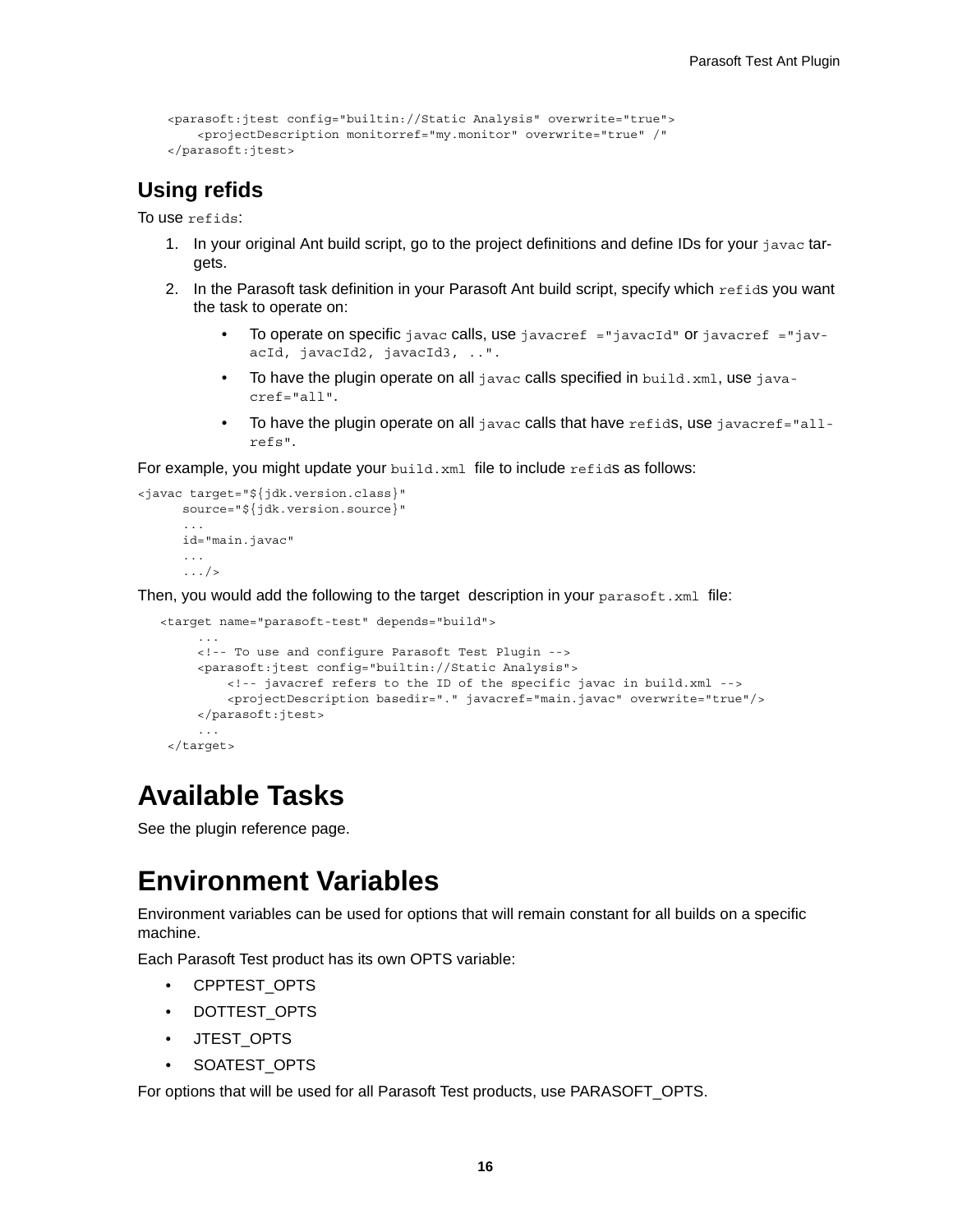```
 <parasoft:jtest config="builtin://Static Analysis" overwrite="true">
     <projectDescription monitorref="my.monitor" overwrite="true" /"
 </parasoft:jtest>
```
#### <span id="page-11-2"></span>**Using refids**

To use refids:

- 1. In your original Ant build script, go to the project definitions and define IDs for your javac targets.
- 2. In the Parasoft task definition in your Parasoft Ant build script, specify which refids you want the task to operate on:
	- To operate on specific javac calls, use javacref ="javacId" or javacref ="javacId, javacId2, javacId3, ..".
	- To have the plugin operate on all  $j$ avac calls specified in  $build.xml$ , use  $java$ cref="all".
	- To have the plugin operate on all javac calls that have  $\tau$ efids, use javacref="allrefs".

For example, you might update your  $b$  build. $x$ ml file to include refids as follows:

```
<javac target="${jdk.version.class}"
       source="${jdk.version.source}"
 ...
       id="main.javac"
       ...
       .../>
```
Then, you would add the following to the target description in your  $\text{parse}$   $\text{true}$ .

```
 <target name="parasoft-test" depends="build">
      ...
      <!-- To use and configure Parasoft Test Plugin -->
      <parasoft:jtest config="builtin://Static Analysis">
          <!-- javacref refers to the ID of the specific javac in build.xml -->
          <projectDescription basedir="." javacref="main.javac" overwrite="true"/>
      </parasoft:jtest>
      ...
 </target>
```
### <span id="page-11-1"></span>**Available Tasks**

See [the plugin reference page](http://build.parasoft.com/docs/overview.html).

### <span id="page-11-0"></span>**Environment Variables**

Environment variables can be used for options that will remain constant for all builds on a specific machine.

Each Parasoft Test product has its own OPTS variable:

- CPPTEST\_OPTS
- DOTTEST\_OPTS
- JTEST\_OPTS
- SOATEST\_OPTS

For options that will be used for all Parasoft Test products, use PARASOFT\_OPTS.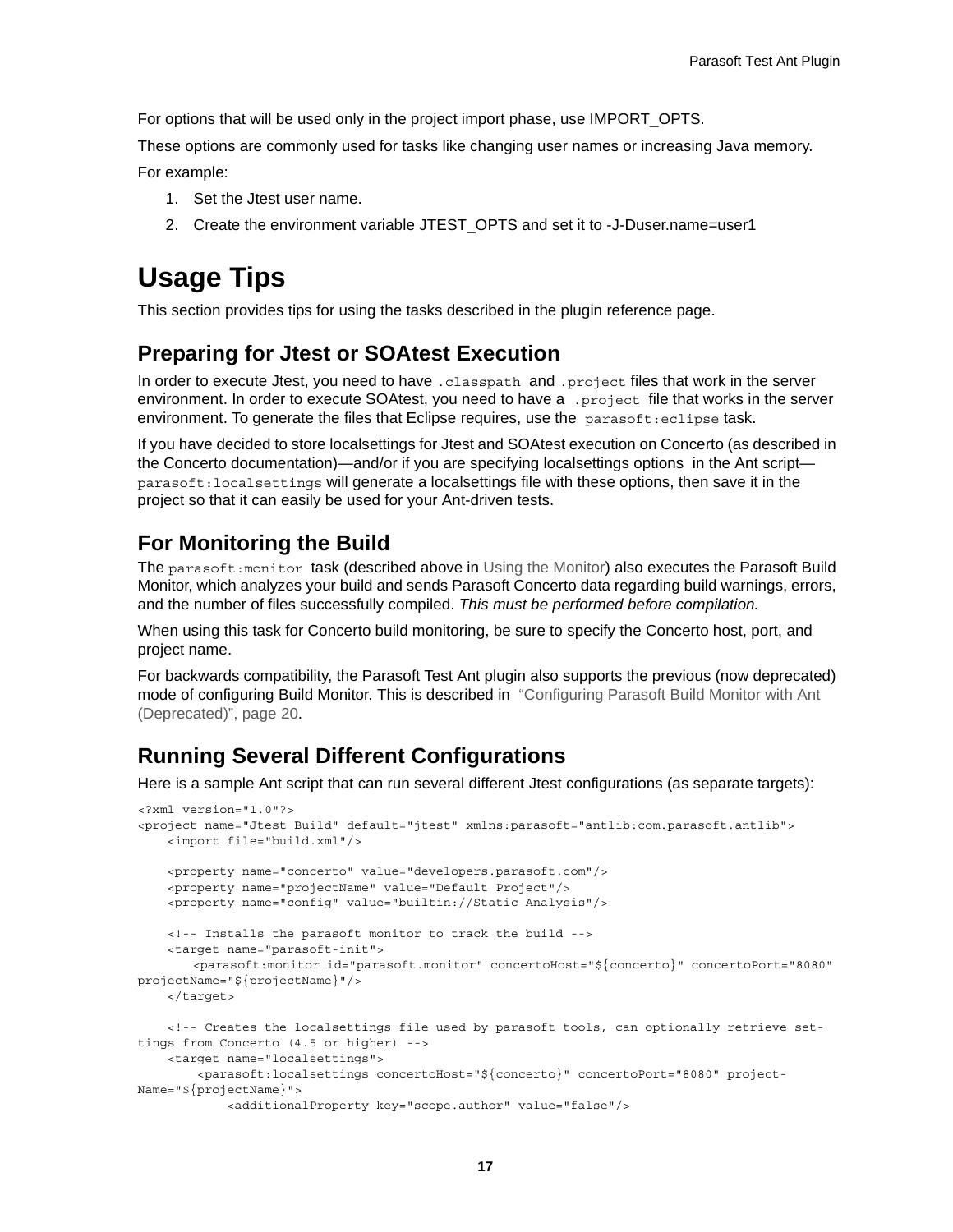For options that will be used only in the project import phase, use IMPORT\_OPTS.

These options are commonly used for tasks like changing user names or increasing Java memory. For example:

- 1. Set the Jtest user name.
- 2. Create the environment variable JTEST\_OPTS and set it to -J-Duser.name=user1

## <span id="page-12-0"></span>**Usage Tips**

This section provides tips for using the tasks described i[n the plugin reference page.](http://build.parasoft.com/docs/overview.html)

#### **Preparing for Jtest or SOAtest Execution**

In order to execute Jtest, you need to have .classpath and .project files that work in the server environment. In order to execute SOAtest, you need to have a . project file that works in the server environment. To generate the files that Eclipse requires, use the parasoft:eclipse task.

If you have decided to store localsettings for Jtest and SOAtest execution on Concerto (as described in the Concerto documentation)—and/or if you are specifying localsettings options in the Ant script parasoft:localsettings will generate a localsettings file with these options, then save it in the project so that it can easily be used for your Ant-driven tests.

#### **For Monitoring the Build**

The parasoft: monitor task (described above in [Using the Monitor\)](#page-10-0) also executes the Parasoft Build Monitor, which analyzes your build and sends Parasoft Concerto data regarding build warnings, errors, and the number of files successfully compiled. *This must be performed before compilation.*

When using this task for Concerto build monitoring, be sure to specify the Concerto host, port, and project name.

For backwards compatibility, the Parasoft Test Ant plugin also supports the previous (now deprecated) mode of configuring Build Monitor. This is described in ["Configuring Parasoft Build Monitor with Ant](#page-15-1)  [\(Deprecated\)", page 20.](#page-15-1)

#### **Running Several Different Configurations**

Here is a sample Ant script that can run several different Jtest configurations (as separate targets):

```
<?xml version="1.0"?>
<project name="Jtest Build" default="jtest" xmlns:parasoft="antlib:com.parasoft.antlib">
    <import file="build.xml"/>
    <property name="concerto" value="developers.parasoft.com"/>
    <property name="projectName" value="Default Project"/>
    <property name="config" value="builtin://Static Analysis"/>
    <!-- Installs the parasoft monitor to track the build -->
    <target name="parasoft-init">
        <parasoft:monitor id="parasoft.monitor" concertoHost="${concerto}" concertoPort="8080" 
projectName="${projectName}"/>
    </target>
     <!-- Creates the localsettings file used by parasoft tools, can optionally retrieve set-
tings from Concerto (4.5 or higher) -->
    <target name="localsettings">
        <parasoft:localsettings concertoHost="${concerto}" concertoPort="8080" project-
Name="${projectName}">
             <additionalProperty key="scope.author" value="false"/>
```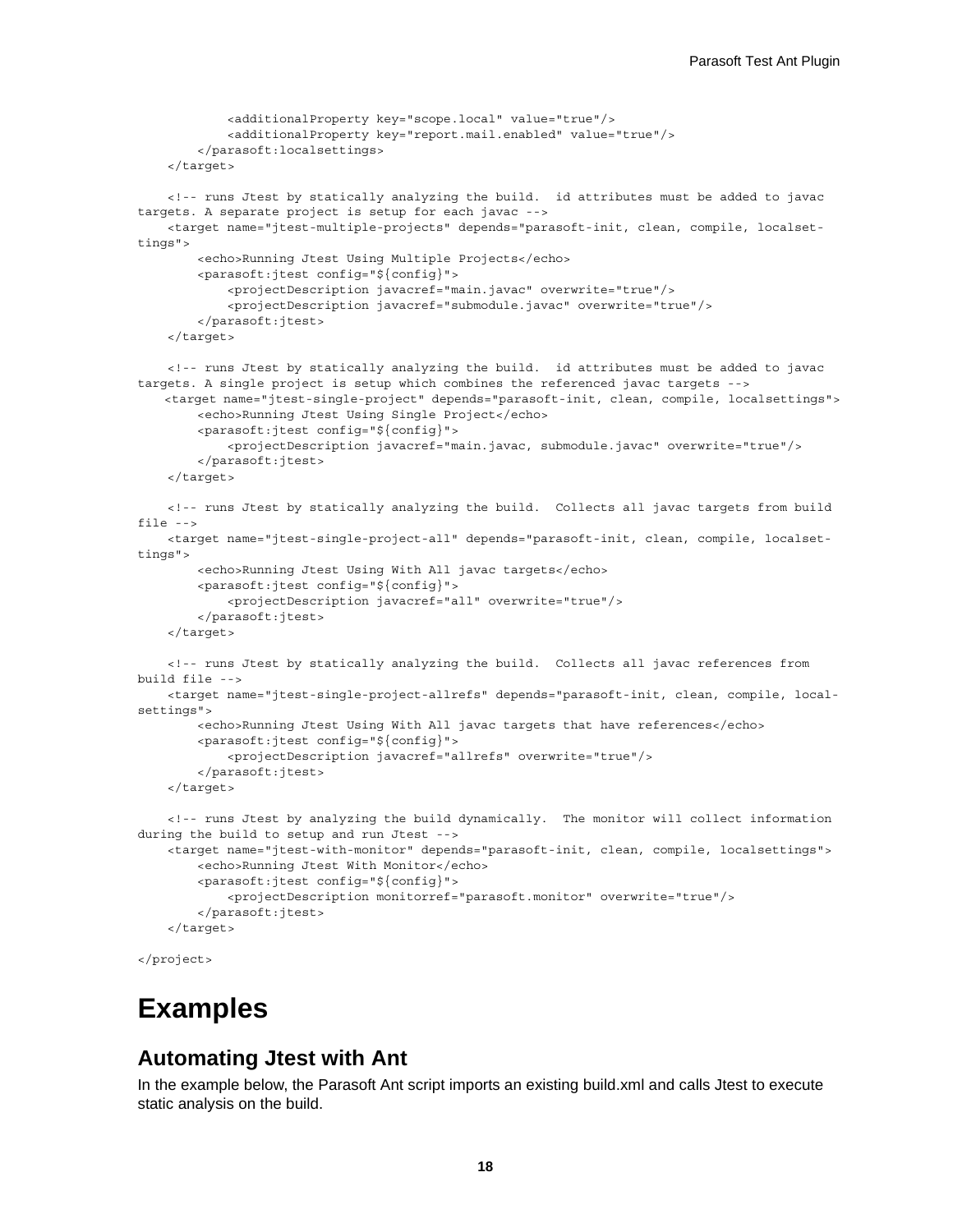```
 <additionalProperty key="scope.local" value="true"/>
             <additionalProperty key="report.mail.enabled" value="true"/>
         </parasoft:localsettings>
     </target>
     <!-- runs Jtest by statically analyzing the build. id attributes must be added to javac 
targets. A separate project is setup for each javac -->
    <target name="jtest-multiple-projects" depends="parasoft-init, clean, compile, localset-
tings">
         <echo>Running Jtest Using Multiple Projects</echo>
         <parasoft:jtest config="${config}">
             <projectDescription javacref="main.javac" overwrite="true"/>
             <projectDescription javacref="submodule.javac" overwrite="true"/>
         </parasoft:jtest>
     </target>
     <!-- runs Jtest by statically analyzing the build. id attributes must be added to javac 
targets. A single project is setup which combines the referenced javac targets -->
    <target name="jtest-single-project" depends="parasoft-init, clean, compile, localsettings">
         <echo>Running Jtest Using Single Project</echo>
         <parasoft:jtest config="${config}">
             <projectDescription javacref="main.javac, submodule.javac" overwrite="true"/>
         </parasoft:jtest>
     </target>
     <!-- runs Jtest by statically analyzing the build. Collects all javac targets from build 
file -->
    <target name="jtest-single-project-all" depends="parasoft-init, clean, compile, localset-
tings">
         <echo>Running Jtest Using With All javac targets</echo>
         <parasoft:jtest config="${config}">
             <projectDescription javacref="all" overwrite="true"/>
         </parasoft:jtest>
     </target>
     <!-- runs Jtest by statically analyzing the build. Collects all javac references from 
build file -->
    <target name="jtest-single-project-allrefs" depends="parasoft-init, clean, compile, local-
settings">
         <echo>Running Jtest Using With All javac targets that have references</echo>
         <parasoft:jtest config="${config}">
             <projectDescription javacref="allrefs" overwrite="true"/>
         </parasoft:jtest>
     </target>
     <!-- runs Jtest by analyzing the build dynamically. The monitor will collect information 
during the build to setup and run Jtest -->
     <target name="jtest-with-monitor" depends="parasoft-init, clean, compile, localsettings">
         <echo>Running Jtest With Monitor</echo>
         <parasoft:jtest config="${config}">
             <projectDescription monitorref="parasoft.monitor" overwrite="true"/>
         </parasoft:jtest>
     </target>
```

```
</project>
```
### <span id="page-13-0"></span>**Examples**

#### **Automating Jtest with Ant**

In the example below, the Parasoft Ant script imports an existing build.xml and calls Jtest to execute static analysis on the build.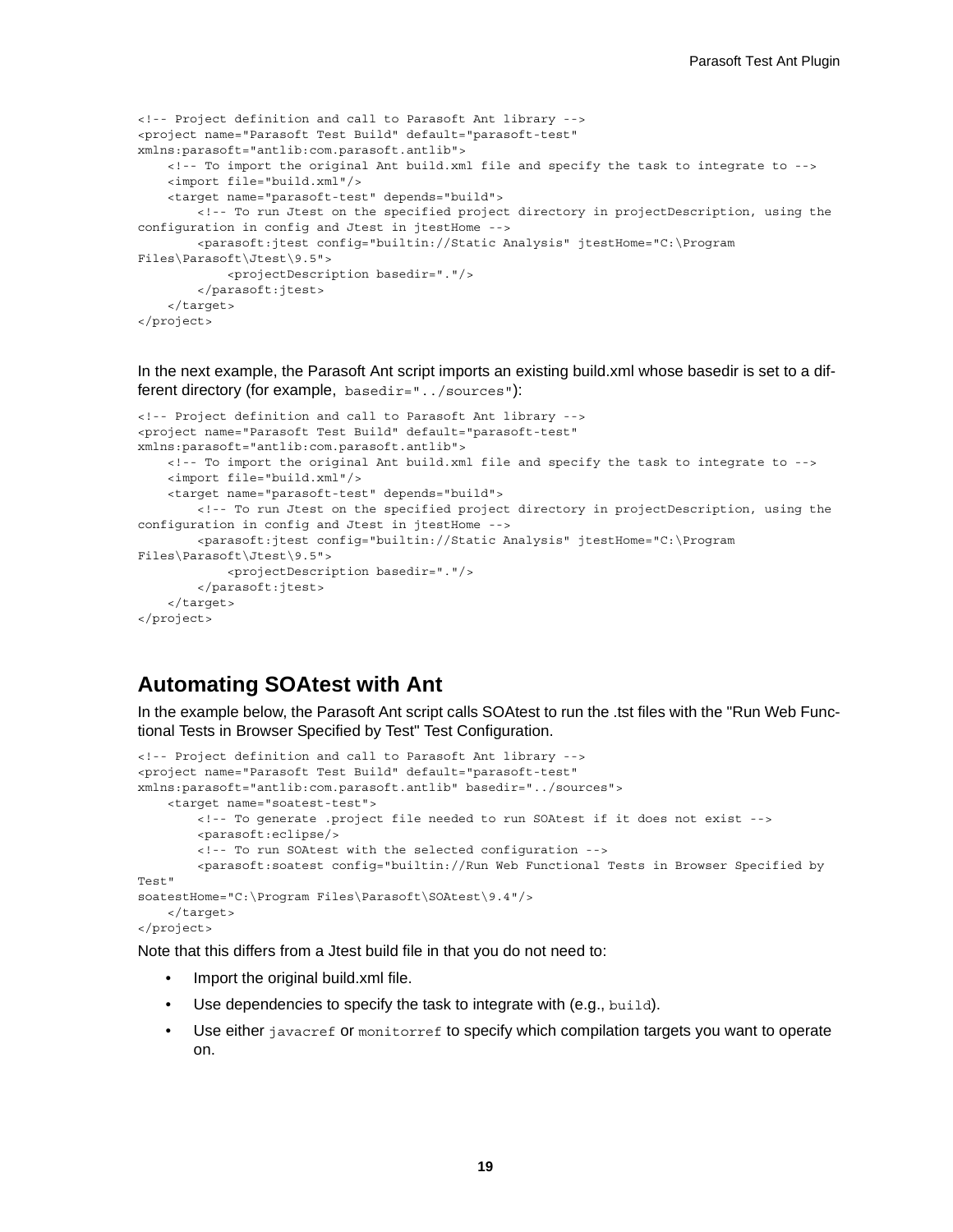```
<!-- Project definition and call to Parasoft Ant library -->
<project name="Parasoft Test Build" default="parasoft-test"
xmlns:parasoft="antlib:com.parasoft.antlib">
    <!-- To import the original Ant build.xml file and specify the task to integrate to -->
     <import file="build.xml"/>
    <target name="parasoft-test" depends="build">
        <!-- To run Jtest on the specified project directory in projectDescription, using the
configuration in config and Jtest in jtestHome -->
        <parasoft:jtest config="builtin://Static Analysis" jtestHome="C:\Program
Files\Parasoft\Jtest\9.5">
            <projectDescription basedir="."/>
         </parasoft:jtest>
     </target>
</project>
```
In the next example, the Parasoft Ant script imports an existing build.xml whose basedir is set to a different directory (for example, basedir="../sources"):

```
<!-- Project definition and call to Parasoft Ant library -->
<project name="Parasoft Test Build" default="parasoft-test" 
xmlns:parasoft="antlib:com.parasoft.antlib">
    <!-- To import the original Ant build.xml file and specify the task to integrate to -->
     <import file="build.xml"/>
     <target name="parasoft-test" depends="build">
        <!-- To run Jtest on the specified project directory in projectDescription, using the
configuration in config and Jtest in jtestHome -->
        <parasoft:jtest config="builtin://Static Analysis" jtestHome="C:\Program
Files\Parasoft\Jtest\9.5">
            <projectDescription basedir="."/>
         </parasoft:jtest>
     </target>
</project>
```
#### **Automating SOAtest with Ant**

In the example below, the Parasoft Ant script calls SOAtest to run the .tst files with the "Run Web Functional Tests in Browser Specified by Test" Test Configuration.

```
<!-- Project definition and call to Parasoft Ant library -->
<project name="Parasoft Test Build" default="parasoft-test"
xmlns:parasoft="antlib:com.parasoft.antlib" basedir="../sources">
     <target name="soatest-test">
         <!-- To generate .project file needed to run SOAtest if it does not exist -->
         <parasoft:eclipse/>
         <!-- To run SOAtest with the selected configuration -->
         <parasoft:soatest config="builtin://Run Web Functional Tests in Browser Specified by 
Test"
soatestHome="C:\Program Files\Parasoft\SOAtest\9.4"/>
     </target>
</project>
```
Note that this differs from a Jtest build file in that you do not need to:

- Import the original build.xml file.
- Use dependencies to specify the task to integrate with (e.g., build).
- Use either javacref or monitorref to specify which compilation targets you want to operate on.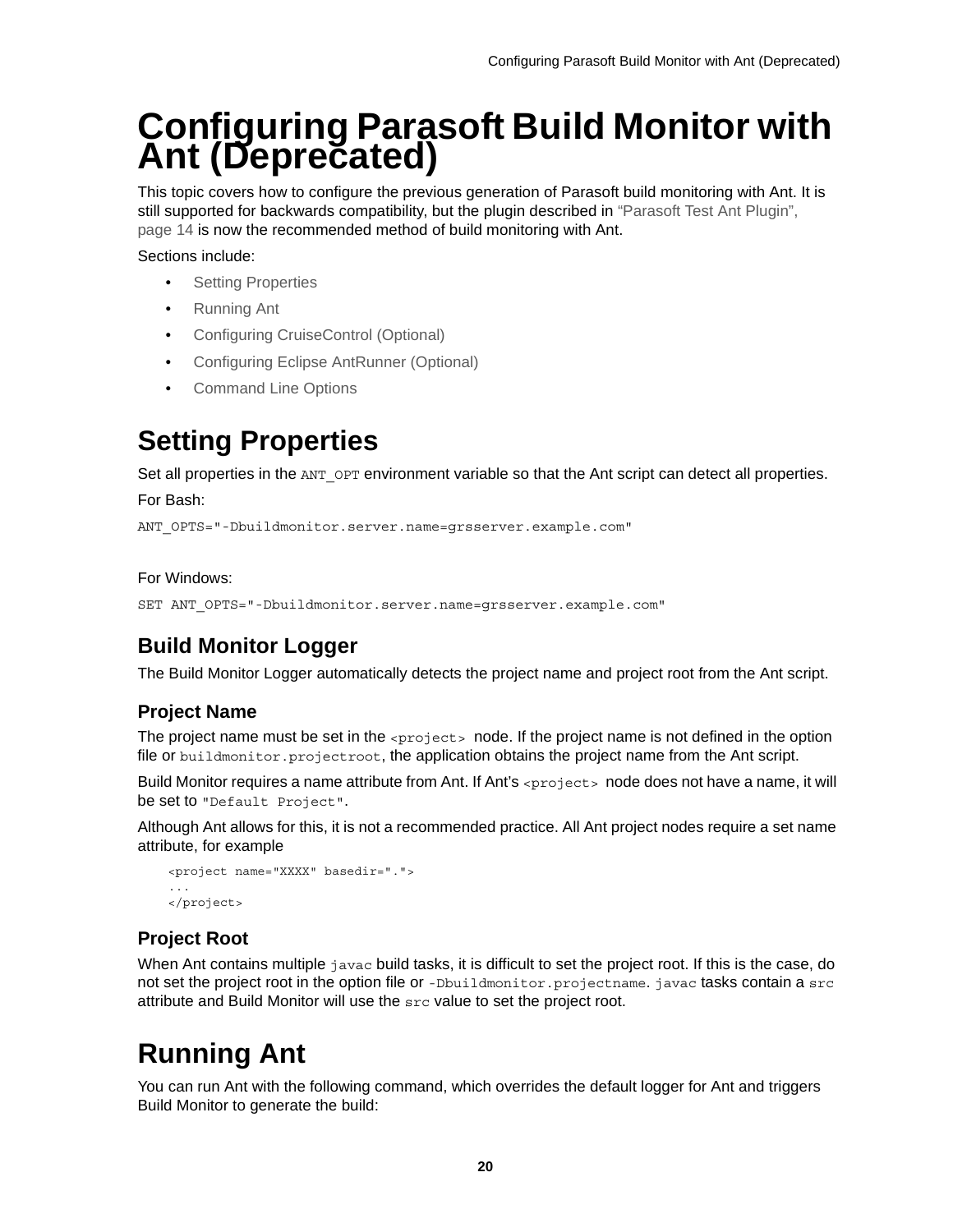# <span id="page-15-1"></span><span id="page-15-0"></span>**Configuring Parasoft Build Monitor with Ant (Deprecated)**

This topic covers how to configure the previous generation of Parasoft build monitoring with Ant. It is still supported for backwards compatibility, but the plugin described in ["Parasoft Test Ant Plugin",](#page-9-4)  [page 14](#page-9-4) is now the recommended method of build monitoring with Ant.

Sections include:

- **[Setting Properties](#page-15-2)**
- [Running Ant](#page-15-3)
- [Configuring CruiseControl \(Optional\)](#page-16-0)
- [Configuring Eclipse AntRunner \(Optional\)](#page-17-0)
- [Command Line Options](#page-17-1)

## <span id="page-15-2"></span>**Setting Properties**

Set all properties in the ANT OPT environment variable so that the Ant script can detect all properties.

For Bash:

ANT\_OPTS="-Dbuildmonitor.server.name=grsserver.example.com"

#### For Windows:

```
SET ANT_OPTS="-Dbuildmonitor.server.name=grsserver.example.com"
```
### **Build Monitor Logger**

The Build Monitor Logger automatically detects the project name and project root from the Ant script.

#### **Project Name**

The project name must be set in the *sproject* > node. If the project name is not defined in the option file or buildmonitor.projectroot, the application obtains the project name from the Ant script.

Build Monitor requires a name attribute from Ant. If Ant's  $\langle$ project > node does not have a name, it will be set to "Default Project".

Although Ant allows for this, it is not a recommended practice. All Ant project nodes require a set name attribute, for example

```
<project name="XXXX" basedir=".">
...
</project>
```
#### **Project Root**

When Ant contains multiple javac build tasks, it is difficult to set the project root. If this is the case, do not set the project root in the option file or -Dbuildmonitor.projectname.javac tasks contain a src attribute and Build Monitor will use the src value to set the project root.

## <span id="page-15-3"></span>**Running Ant**

You can run Ant with the following command, which overrides the default logger for Ant and triggers Build Monitor to generate the build: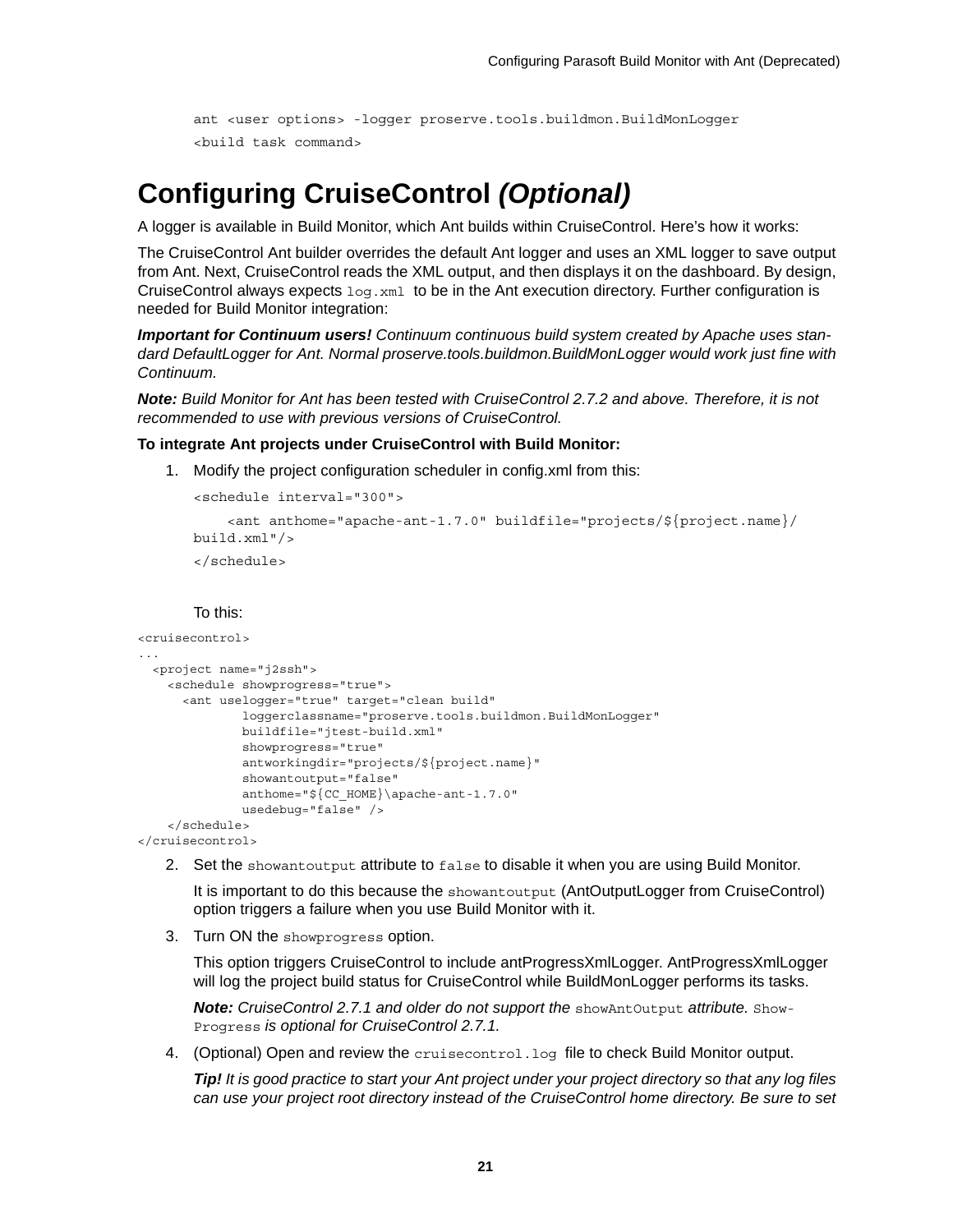```
ant <user options> -logger proserve.tools.buildmon.BuildMonLogger
<build task command>
```
### <span id="page-16-0"></span>**Configuring CruiseControl** *(Optional)*

A logger is available in Build Monitor, which Ant builds within CruiseControl. Here's how it works:

The CruiseControl Ant builder overrides the default Ant logger and uses an XML logger to save output from Ant. Next, CruiseControl reads the XML output, and then displays it on the dashboard. By design, CruiseControl always expects  $log x_{m1}$  to be in the Ant execution directory. Further configuration is needed for Build Monitor integration:

*Important for Continuum users! Continuum continuous build system created by Apache uses standard DefaultLogger for Ant. Normal proserve.tools.buildmon.BuildMonLogger would work just fine with Continuum.*

*Note: Build Monitor for Ant has been tested with CruiseControl 2.7.2 and above. Therefore, it is not recommended to use with previous versions of CruiseControl.*

#### **To integrate Ant projects under CruiseControl with Build Monitor:**

1. Modify the project configuration scheduler in config.xml from this:

```
<schedule interval="300">
     <ant anthome="apache-ant-1.7.0" buildfile="projects/${project.name}/
build.xml"/>
</schedule>
```
To this:

```
<cruisecontrol>
...
   <project name="j2ssh">
     <schedule showprogress="true">
       <ant uselogger="true" target="clean build" 
               loggerclassname="proserve.tools.buildmon.BuildMonLogger" 
               buildfile="jtest-build.xml" 
               showprogress="true" 
               antworkingdir="projects/${project.name}" 
               showantoutput="false" 
               anthome="${CC_HOME}\apache-ant-1.7.0" 
               usedebug="false" />
     </schedule>
</cruisecontrol>
```
2. Set the showantoutput attribute to false to disable it when you are using Build Monitor.

It is important to do this because the showantoutput (AntOutputLogger from CruiseControl) option triggers a failure when you use Build Monitor with it.

3. Turn ON the showprogress option.

This option triggers CruiseControl to include antProgressXmlLogger. AntProgressXmlLogger will log the project build status for CruiseControl while BuildMonLogger performs its tasks.

**Note:** CruiseControl 2.7.1 and older do not support the showAntOutput attribute. Show-Progress *is optional for CruiseControl 2.7.1.*

4. (Optional) Open and review the cruisecontrol.log file to check Build Monitor output.

*Tip! It is good practice to start your Ant project under your project directory so that any log files can use your project root directory instead of the CruiseControl home directory. Be sure to set*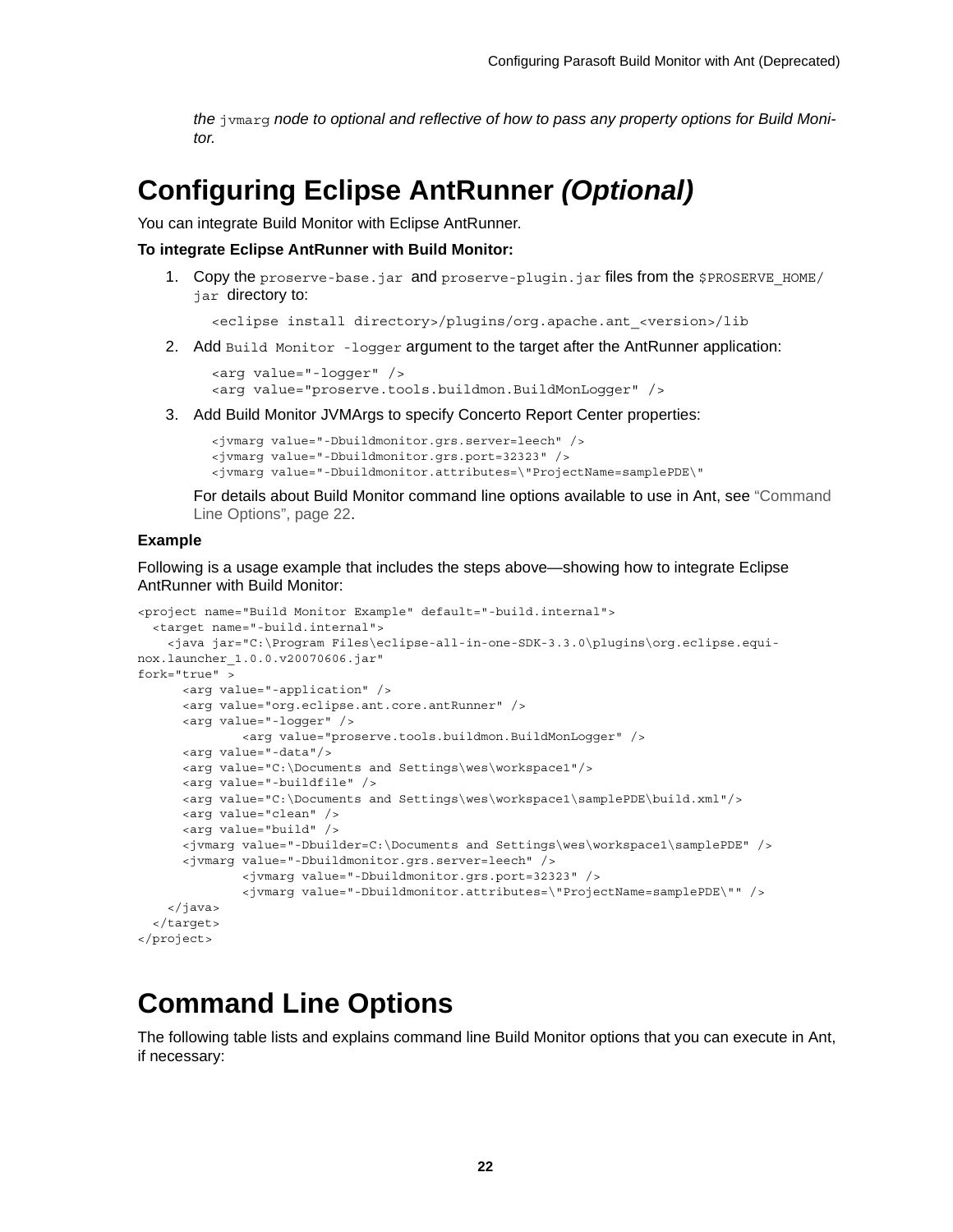*the* jvmarg *node to optional and reflective of how to pass any property options for Build Monitor.*

### <span id="page-17-0"></span>**Configuring Eclipse AntRunner** *(Optional)*

You can integrate Build Monitor with Eclipse AntRunner.

**To integrate Eclipse AntRunner with Build Monitor:**

1. Copy the proserve-base.jar and proserve-plugin.jar files from the \$PROSERVE\_HOME/ jar directory to:

<eclipse install directory>/plugins/org.apache.ant\_<version>/lib

2. Add Build Monitor -logger argument to the target after the AntRunner application:

```
<arg value="-logger" />
<arg value="proserve.tools.buildmon.BuildMonLogger" />
```
3. Add Build Monitor JVMArgs to specify Concerto Report Center properties:

```
<jvmarg value="-Dbuildmonitor.grs.server=leech" />
<jvmarg value="-Dbuildmonitor.grs.port=32323" />
<jvmarg value="-Dbuildmonitor.attributes=\"ProjectName=samplePDE\"
```
For details about Build Monitor command line options available to use in Ant, see ["Command](#page-17-1)  [Line Options", page 22](#page-17-1).

#### **Example**

Following is a usage example that includes the steps above—showing how to integrate Eclipse AntRunner with Build Monitor:

```
<project name="Build Monitor Example" default="-build.internal">
   <target name="-build.internal">
    <java jar="C:\Program Files\eclipse-all-in-one-SDK-3.3.0\plugins\org.eclipse.equi-
nox.launcher_1.0.0.v20070606.jar"
fork="true" >
       <arg value="-application" />
       <arg value="org.eclipse.ant.core.antRunner" />
       <arg value="-logger" />
              <arg value="proserve.tools.buildmon.BuildMonLogger" />
      <arg value="-data"/>
      <arg value="C:\Documents and Settings\wes\workspace1"/>
      <arg value="-buildfile" />
      <arg value="C:\Documents and Settings\wes\workspace1\samplePDE\build.xml"/>
      <arg value="clean" />
      <arg value="build" />
       <jvmarg value="-Dbuilder=C:\Documents and Settings\wes\workspace1\samplePDE" />
       <jvmarg value="-Dbuildmonitor.grs.server=leech" />
               <jvmarg value="-Dbuildmonitor.grs.port=32323" />
               <jvmarg value="-Dbuildmonitor.attributes=\"ProjectName=samplePDE\"" />
     </java>
   </target>
</project>
```
### <span id="page-17-1"></span>**Command Line Options**

The following table lists and explains command line Build Monitor options that you can execute in Ant, if necessary: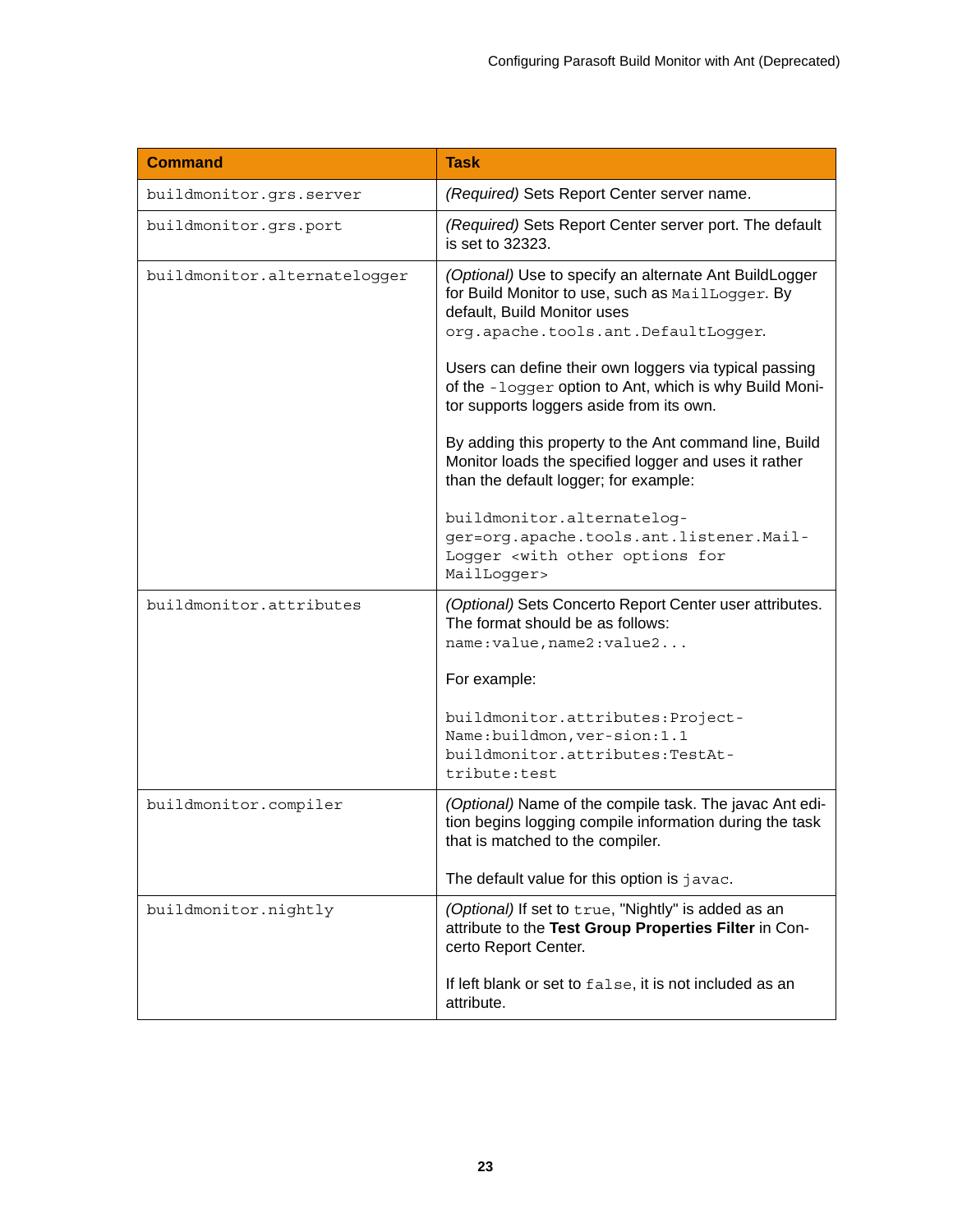| <b>Command</b>               | <b>Task</b>                                                                                                                                                                                                                                                                                                                                                                                                                                                                                                                                |
|------------------------------|--------------------------------------------------------------------------------------------------------------------------------------------------------------------------------------------------------------------------------------------------------------------------------------------------------------------------------------------------------------------------------------------------------------------------------------------------------------------------------------------------------------------------------------------|
| buildmonitor.grs.server      | (Required) Sets Report Center server name.                                                                                                                                                                                                                                                                                                                                                                                                                                                                                                 |
| buildmonitor.grs.port        | (Required) Sets Report Center server port. The default<br>is set to 32323.                                                                                                                                                                                                                                                                                                                                                                                                                                                                 |
| buildmonitor.alternatelogger | (Optional) Use to specify an alternate Ant BuildLogger<br>for Build Monitor to use, such as MailLogger. By<br>default, Build Monitor uses<br>org.apache.tools.ant.DefaultLogger.<br>Users can define their own loggers via typical passing<br>of the -logger option to Ant, which is why Build Moni-<br>tor supports loggers aside from its own.<br>By adding this property to the Ant command line, Build<br>Monitor loads the specified logger and uses it rather<br>than the default logger; for example:<br>buildmonitor.alternatelog- |
|                              | ger=org.apache.tools.ant.listener.Mail-<br>Logger <with for<br="" options="" other="">MailLogger&gt;</with>                                                                                                                                                                                                                                                                                                                                                                                                                                |
| buildmonitor.attributes      | (Optional) Sets Concerto Report Center user attributes.<br>The format should be as follows:<br>name: value, name2: value2                                                                                                                                                                                                                                                                                                                                                                                                                  |
|                              | For example:                                                                                                                                                                                                                                                                                                                                                                                                                                                                                                                               |
|                              | buildmonitor.attributes: Project-<br>Name:buildmon, ver-sion:1.1<br>buildmonitor.attributes:TestAt-<br>tribute:test                                                                                                                                                                                                                                                                                                                                                                                                                        |
| buildmonitor.compiler        | (Optional) Name of the compile task. The javac Ant edi-<br>tion begins logging compile information during the task<br>that is matched to the compiler.                                                                                                                                                                                                                                                                                                                                                                                     |
|                              | The default value for this option is javac.                                                                                                                                                                                                                                                                                                                                                                                                                                                                                                |
| buildmonitor.nightly         | (Optional) If set to true, "Nightly" is added as an<br>attribute to the Test Group Properties Filter in Con-<br>certo Report Center.                                                                                                                                                                                                                                                                                                                                                                                                       |
|                              | If left blank or set to false, it is not included as an<br>attribute.                                                                                                                                                                                                                                                                                                                                                                                                                                                                      |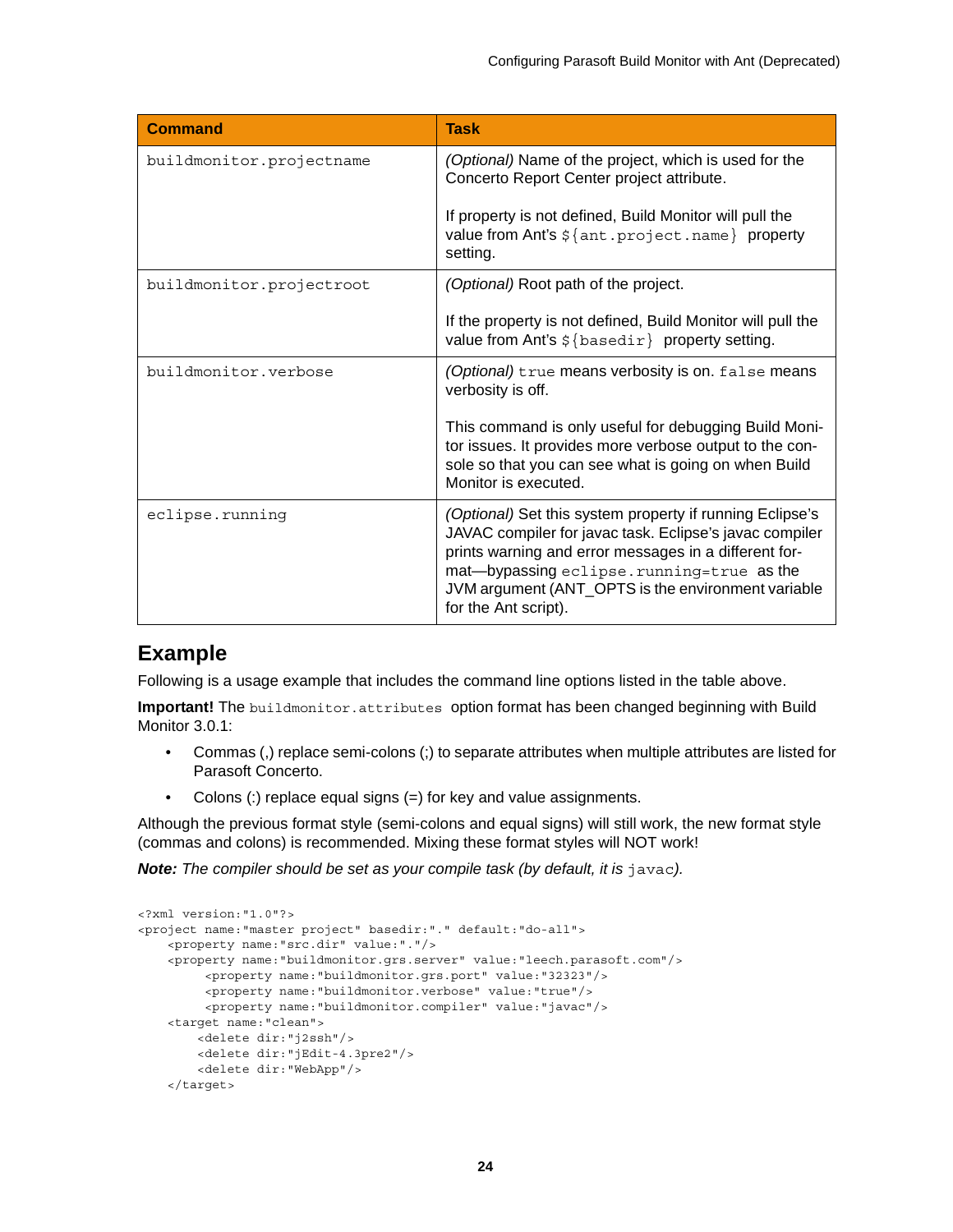| <b>Command</b>           | <b>Task</b>                                                                                                                                                                                                                                                                                             |
|--------------------------|---------------------------------------------------------------------------------------------------------------------------------------------------------------------------------------------------------------------------------------------------------------------------------------------------------|
| buildmonitor.projectname | (Optional) Name of the project, which is used for the<br>Concerto Report Center project attribute.                                                                                                                                                                                                      |
|                          | If property is not defined, Build Monitor will pull the<br>value from Ant's $\frac{1}{2}$ {ant.project.name} property<br>setting.                                                                                                                                                                       |
| buildmonitor.projectroot | (Optional) Root path of the project.                                                                                                                                                                                                                                                                    |
|                          | If the property is not defined, Build Monitor will pull the<br>value from Ant's $\frac{1}{2}$ {basedir} property setting.                                                                                                                                                                               |
| buildmonitor.verbose     | (Optional) true means verbosity is on. false means<br>verbosity is off.                                                                                                                                                                                                                                 |
|                          | This command is only useful for debugging Build Moni-<br>tor issues. It provides more verbose output to the con-<br>sole so that you can see what is going on when Build<br>Monitor is executed.                                                                                                        |
| eclipse.running          | (Optional) Set this system property if running Eclipse's<br>JAVAC compiler for javac task. Eclipse's javac compiler<br>prints warning and error messages in a different for-<br>mat-bypassing eclipse.running=true as the<br>JVM argument (ANT_OPTS is the environment variable<br>for the Ant script). |

### **Example**

Following is a usage example that includes the command line options listed in the table above.

**Important!** The buildmonitor.attributes option format has been changed beginning with Build Monitor 3.0.1:

- Commas (,) replace semi-colons (;) to separate attributes when multiple attributes are listed for Parasoft Concerto.
- Colons (:) replace equal signs (=) for key and value assignments.

Although the previous format style (semi-colons and equal signs) will still work, the new format style (commas and colons) is recommended. Mixing these format styles will NOT work!

**Note:** The compiler should be set as your compile task (by default, it is javac).

```
<?xml version:"1.0"?>
<project name:"master project" basedir:"." default:"do-all">
     <property name:"src.dir" value:"."/>
     <property name:"buildmonitor.grs.server" value:"leech.parasoft.com"/>
          <property name:"buildmonitor.grs.port" value:"32323"/>
          <property name:"buildmonitor.verbose" value:"true"/>
          <property name:"buildmonitor.compiler" value:"javac"/>
     <target name:"clean">
         <delete dir:"j2ssh"/>
         <delete dir:"jEdit-4.3pre2"/>
         <delete dir:"WebApp"/>
     </target>
```